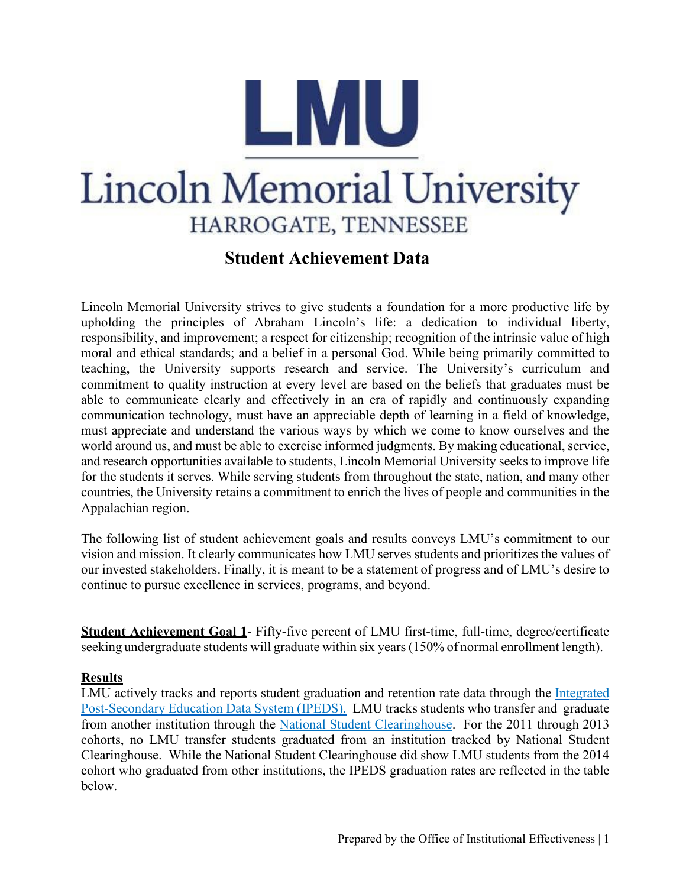

# **Lincoln Memorial University** HARROGATE, TENNESSEE

# **Student Achievement Data**

Lincoln Memorial University strives to give students a foundation for a more productive life by upholding the principles of Abraham Lincoln's life: a dedication to individual liberty, responsibility, and improvement; a respect for citizenship; recognition of the intrinsic value of high moral and ethical standards; and a belief in a personal God. While being primarily committed to teaching, the University supports research and service. The University's curriculum and commitment to quality instruction at every level are based on the beliefs that graduates must be able to communicate clearly and effectively in an era of rapidly and continuously expanding communication technology, must have an appreciable depth of learning in a field of knowledge, must appreciate and understand the various ways by which we come to know ourselves and the world around us, and must be able to exercise informed judgments. By making educational, service, and research opportunities available to students, Lincoln Memorial University seeks to improve life for the students it serves. While serving students from throughout the state, nation, and many other countries, the University retains a commitment to enrich the lives of people and communities in the Appalachian region.

The following list of student achievement goals and results conveys LMU's commitment to our vision and mission. It clearly communicates how LMU serves students and prioritizes the values of our invested stakeholders. Finally, it is meant to be a statement of progress and of LMU's desire to continue to pursue excellence in services, programs, and beyond.

**Student Achievement Goal 1**- Fifty-five percent of LMU first-time, full-time, degree/certificate seeking undergraduate students will graduate within six years (150% of normal enrollment length).

# **Results**

LMU actively tracks and reports student graduation and retention rate data through the [Integrated](https://nces.ed.gov/ipeds/datacenter/institutionprofile.aspx?unitId=adadabb1aeac) [Post-Secondary Education Data System \(IPEDS\).](https://nces.ed.gov/ipeds/datacenter/institutionprofile.aspx?unitId=adadabb1aeac) LMU tracks students who transfer and graduate from another institution through the [National Student Clearinghouse.](https://www.studentclearinghouse.org/) For the 2011 through 2013 cohorts, no LMU transfer students graduated from an institution tracked by National Student Clearinghouse. While the National Student Clearinghouse did show LMU students from the 2014 cohort who graduated from other institutions, the IPEDS graduation rates are reflected in the table below.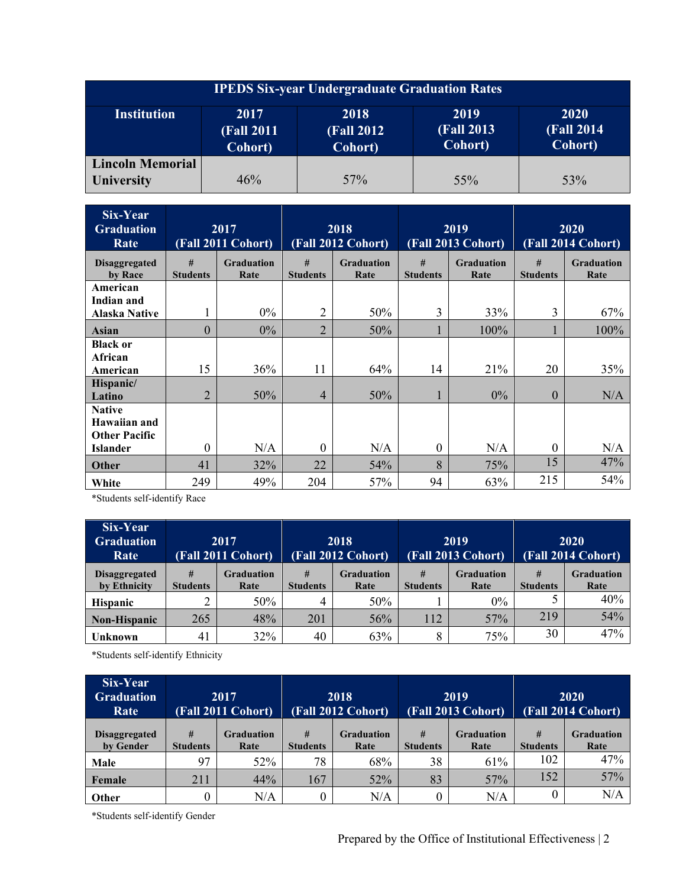| <b>IPEDS Six-year Undergraduate Graduation Rates</b> |                                       |                                       |                                       |                                              |  |  |  |  |  |  |
|------------------------------------------------------|---------------------------------------|---------------------------------------|---------------------------------------|----------------------------------------------|--|--|--|--|--|--|
| <b>Institution</b>                                   | 2017<br><b>(Fall 2011)</b><br>Cohort) | 2018<br><b>(Fall 2012)</b><br>Cohort) | 2019<br><b>(Fall 2013)</b><br>Cohort) | <b>2020</b><br><b>(Fall 2014)</b><br>Cohort) |  |  |  |  |  |  |
| <b>Lincoln Memorial</b><br><b>University</b>         | 46%                                   | 57%                                   | $55\%$                                | 53%                                          |  |  |  |  |  |  |

| Six-Year<br><b>Graduation</b><br>Rate   |                      | 2017<br>(Fall 2011 Cohort) |                      | 2018<br>(Fall 2012 Cohort) |                      | 2019<br>(Fall 2013 Cohort) | 2020<br>(Fall 2014 Cohort) |                           |  |
|-----------------------------------------|----------------------|----------------------------|----------------------|----------------------------|----------------------|----------------------------|----------------------------|---------------------------|--|
| <b>Disaggregated</b><br>by Race         | #<br><b>Students</b> | <b>Graduation</b><br>Rate  | #<br><b>Students</b> | <b>Graduation</b><br>Rate  | #<br><b>Students</b> | <b>Graduation</b><br>Rate  | #<br><b>Students</b>       | <b>Graduation</b><br>Rate |  |
| American<br>Indian and                  |                      |                            |                      |                            |                      |                            |                            |                           |  |
| Alaska Native                           |                      | $0\%$                      | $\overline{2}$       | 50%                        | 3                    | 33%                        | 3                          | 67%                       |  |
| Asian                                   | $\overline{0}$       | $0\%$                      | $\overline{2}$       | 50%                        |                      | 100%                       |                            | 100%                      |  |
| <b>Black or</b>                         |                      |                            |                      |                            |                      |                            |                            |                           |  |
| African                                 |                      |                            |                      |                            |                      |                            |                            |                           |  |
| American                                | 15                   | 36%                        | 11                   | 64%                        | 14                   | 21%                        | 20                         | 35%                       |  |
| Hispanic/<br>Latino                     | $\overline{2}$       | 50%                        | $\overline{4}$       | 50%                        |                      | $0\%$                      | $\overline{0}$             | N/A                       |  |
| <b>Native</b><br>Hawaiian and           |                      |                            |                      |                            |                      |                            |                            |                           |  |
| <b>Other Pacific</b><br><b>Islander</b> | $\Omega$             | N/A                        | $\theta$             | N/A                        | $\theta$             | N/A                        | $\theta$                   | N/A                       |  |
| Other                                   | 41                   | 32%                        | 22                   | 54%                        | 8                    | 75%                        | 15                         | 47%                       |  |
| White                                   | 249                  | 49%                        | 204                  | 57%                        | 94                   | 63%                        | 215                        | 54%                       |  |

\*Students self-identify Race

| Six-Year<br><b>Graduation</b><br>Rate | 2017<br>(Fall 2011 Cohort) |                           | 2018<br>(Fall 2012 Cohort) |                           |                      | 2019<br>(Fall 2013 Cohort) | 2020<br>(Fall 2014 Cohort) |                           |  |
|---------------------------------------|----------------------------|---------------------------|----------------------------|---------------------------|----------------------|----------------------------|----------------------------|---------------------------|--|
| <b>Disaggregated</b><br>by Ethnicity  | #<br><b>Students</b>       | <b>Graduation</b><br>Rate | #<br><b>Students</b>       | <b>Graduation</b><br>Rate | #<br><b>Students</b> | <b>Graduation</b><br>Rate  | #<br><b>Students</b>       | <b>Graduation</b><br>Rate |  |
| <b>Hispanic</b>                       |                            | 50%                       | 4                          | 50%                       |                      | $0\%$                      |                            | 40%                       |  |
| <b>Non-Hispanic</b>                   | 265                        | 48%                       | 201                        | 56%                       | 112                  | 57%                        | 219                        | 54%                       |  |
| Unknown                               | 41                         | 32%                       | 40                         | 63%                       | 8                    | 75%                        | 30                         | 47%                       |  |

\*Students self-identify Ethnicity

| Six-Year<br><b>Graduation</b><br>Rate | 2017<br>(Fall 2011 Cohort) |                           | 2018<br>(Fall 2012 Cohort) |                           |                      | 2019<br>(Fall 2013 Cohort) | 2020<br>(Fall 2014 Cohort) |                           |  |
|---------------------------------------|----------------------------|---------------------------|----------------------------|---------------------------|----------------------|----------------------------|----------------------------|---------------------------|--|
| <b>Disaggregated</b><br>by Gender     | #<br><b>Students</b>       | <b>Graduation</b><br>Rate | #<br><b>Students</b>       | <b>Graduation</b><br>Rate | #<br><b>Students</b> | <b>Graduation</b><br>Rate  | #<br><b>Students</b>       | <b>Graduation</b><br>Rate |  |
| Male                                  | 97                         | 52%                       | 78                         | 68%                       | 38                   | 61%                        | 102                        | 47%                       |  |
| Female                                | 211                        | 44%                       | 167                        | 52%                       | 83                   | 57%                        | 152                        | 57%                       |  |
| Other                                 |                            | N/A                       | 0                          | N/A                       | 0                    | N/A                        | $\theta$                   | N/A                       |  |

\*Students self-identify Gender

Prepared by the Office of Institutional Effectiveness | 2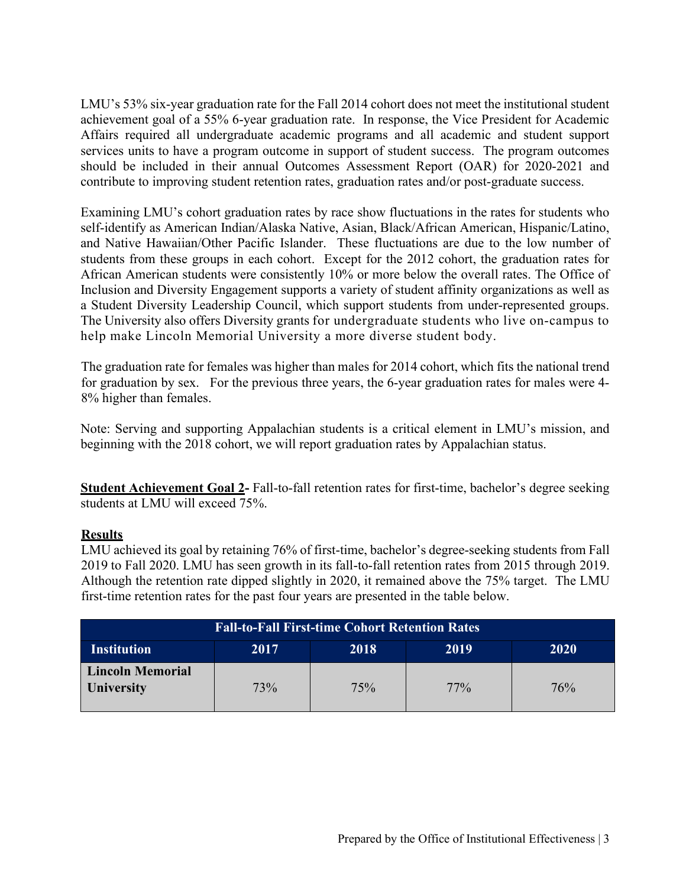LMU's 53% six-year graduation rate for the Fall 2014 cohort does not meet the institutional student achievement goal of a 55% 6-year graduation rate. In response, the Vice President for Academic Affairs required all undergraduate academic programs and all academic and student support services units to have a program outcome in support of student success. The program outcomes should be included in their annual Outcomes Assessment Report (OAR) for 2020-2021 and contribute to improving student retention rates, graduation rates and/or post-graduate success.

Examining LMU's cohort graduation rates by race show fluctuations in the rates for students who self-identify as American Indian/Alaska Native, Asian, Black/African American, Hispanic/Latino, and Native Hawaiian/Other Pacific Islander. These fluctuations are due to the low number of students from these groups in each cohort. Except for the 2012 cohort, the graduation rates for African American students were consistently 10% or more below the overall rates. The Office of Inclusion and Diversity Engagement supports a variety of student affinity organizations as well as a Student Diversity Leadership Council, which support students from under-represented groups. The University also offers Diversity grants for undergraduate students who live on-campus to help make Lincoln Memorial University a more diverse student body.

The graduation rate for females was higher than males for 2014 cohort, which fits the national trend for graduation by sex. For the previous three years, the 6-year graduation rates for males were 4- 8% higher than females.

Note: Serving and supporting Appalachian students is a critical element in LMU's mission, and beginning with the 2018 cohort, we will report graduation rates by Appalachian status.

**Student Achievement Goal 2-** Fall-to-fall retention rates for first-time, bachelor's degree seeking students at LMU will exceed 75%.

# **Results**

LMU achieved its goal by retaining 76% of first-time, bachelor's degree-seeking students from Fall 2019 to Fall 2020. LMU has seen growth in its fall-to-fall retention rates from 2015 through 2019. Although the retention rate dipped slightly in 2020, it remained above the 75% target. The LMU first-time retention rates for the past four years are presented in the table below.

| <b>Fall-to-Fall First-time Cohort Retention Rates</b> |     |     |        |     |  |  |  |  |  |  |  |
|-------------------------------------------------------|-----|-----|--------|-----|--|--|--|--|--|--|--|
| <b>Institution</b><br>2017<br>2018<br>2020<br>2019    |     |     |        |     |  |  |  |  |  |  |  |
| <b>Lincoln Memorial</b><br><b>University</b>          | 73% | 75% | $77\%$ | 76% |  |  |  |  |  |  |  |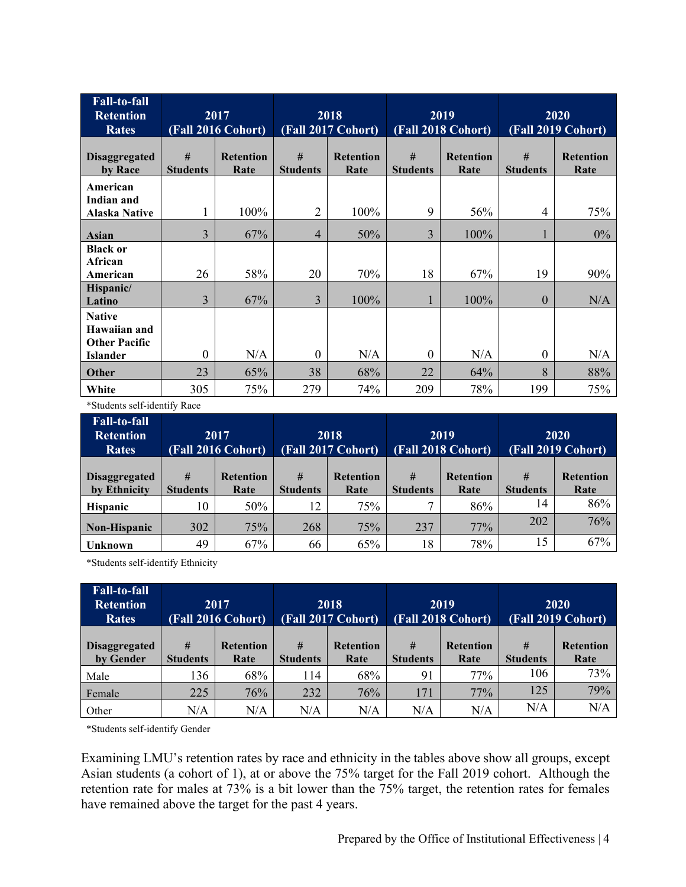| <b>Fall-to-fall</b><br><b>Retention</b><br><b>Rates</b>                  |                      | 2017<br>(Fall 2016 Cohort) |                      | 2018<br>(Fall 2017 Cohort) |                      | 2019<br>(Fall 2018 Cohort) | 2020<br>(Fall 2019 Cohort) |                          |
|--------------------------------------------------------------------------|----------------------|----------------------------|----------------------|----------------------------|----------------------|----------------------------|----------------------------|--------------------------|
| <b>Disaggregated</b><br>by Race                                          | #<br><b>Students</b> | <b>Retention</b><br>Rate   | #<br><b>Students</b> | <b>Retention</b><br>Rate   | #<br><b>Students</b> | <b>Retention</b><br>Rate   | #<br><b>Students</b>       | <b>Retention</b><br>Rate |
| American<br>Indian and<br><b>Alaska Native</b>                           |                      | 100%                       | $\overline{2}$       | 100%                       | 9                    | 56%                        | 4                          | 75%                      |
| Asian                                                                    | 3                    | 67%                        | 4                    | 50%                        | 3                    | 100%                       |                            | $0\%$                    |
| <b>Black or</b><br>African<br>American                                   | 26                   | 58%                        | 20                   | 70%                        | 18                   | 67%                        | 19                         | 90%                      |
| Hispanic/<br>Latino                                                      | 3                    | 67%                        | 3                    | 100%                       |                      | 100%                       | $\overline{0}$             | N/A                      |
| <b>Native</b><br>Hawaiian and<br><b>Other Pacific</b><br><b>Islander</b> | $\mathbf{0}$         | N/A                        | $\theta$             | N/A                        | $\Omega$             | N/A                        | $\theta$                   | N/A                      |
| <b>Other</b>                                                             | 23                   | 65%                        | 38                   | 68%                        | 22                   | 64%                        | 8                          | 88%                      |
| White                                                                    | 305                  | 75%                        | 279                  | 74%                        | 209                  | 78%                        | 199                        | 75%                      |

\*Students self-identify Race

| <b>Fall-to-fall</b><br><b>Retention</b><br><b>Rates</b> | 2017<br>(Fall 2016 Cohort) |                          | 2018<br>(Fall 2017 Cohort) |                          |              | 2019<br>(Fall 2018 Cohort)                       | 2020<br>(Fall 2019 Cohort) |                          |  |
|---------------------------------------------------------|----------------------------|--------------------------|----------------------------|--------------------------|--------------|--------------------------------------------------|----------------------------|--------------------------|--|
| <b>Disaggregated</b><br>by Ethnicity                    | #<br><b>Students</b>       | <b>Retention</b><br>Rate | #<br><b>Students</b>       | <b>Retention</b><br>Rate |              | #<br><b>Retention</b><br><b>Students</b><br>Rate |                            | <b>Retention</b><br>Rate |  |
| <b>Hispanic</b>                                         | 10                         | 50%                      | 12                         | 75%                      | $\mathbf{r}$ | 86%                                              | 14                         | 86%                      |  |
| Non-Hispanic                                            | 302                        | 75%                      | 268                        | 75%                      | 237          | 77%                                              | 202                        | 76%                      |  |
| Unknown                                                 | 49                         | 67%                      | 66                         | 65%                      | 18           | 78%                                              | 15                         | 67%                      |  |

\*Students self-identify Ethnicity

| <b>Fall-to-fall</b><br><b>Retention</b><br><b>Rates</b> | 2017<br>(Fall 2016 Cohort) |                          | 2018<br>(Fall 2017 Cohort) |                          |                      | 2019<br>(Fall 2018 Cohort) | 2020<br>(Fall 2019 Cohort) |                          |  |
|---------------------------------------------------------|----------------------------|--------------------------|----------------------------|--------------------------|----------------------|----------------------------|----------------------------|--------------------------|--|
| <b>Disaggregated</b><br>by Gender                       | #<br><b>Students</b>       | <b>Retention</b><br>Rate | #<br><b>Students</b>       | <b>Retention</b><br>Rate | #<br><b>Students</b> | <b>Retention</b><br>Rate   | #<br><b>Students</b>       | <b>Retention</b><br>Rate |  |
| Male                                                    | 136                        | 68%                      | 114                        | 68%                      | 91                   | 77%                        | 106                        | 73%                      |  |
| Female                                                  | 225                        | 76%                      | 232                        | 76%                      | 171                  | 77%                        | 125                        | 79%                      |  |
| Other                                                   | N/A                        | N/A                      | N/A                        | N/A                      | N/A                  | N/A                        | N/A                        | N/A                      |  |

\*Students self-identify Gender

Examining LMU's retention rates by race and ethnicity in the tables above show all groups, except Asian students (a cohort of 1), at or above the 75% target for the Fall 2019 cohort. Although the retention rate for males at 73% is a bit lower than the 75% target, the retention rates for females have remained above the target for the past 4 years.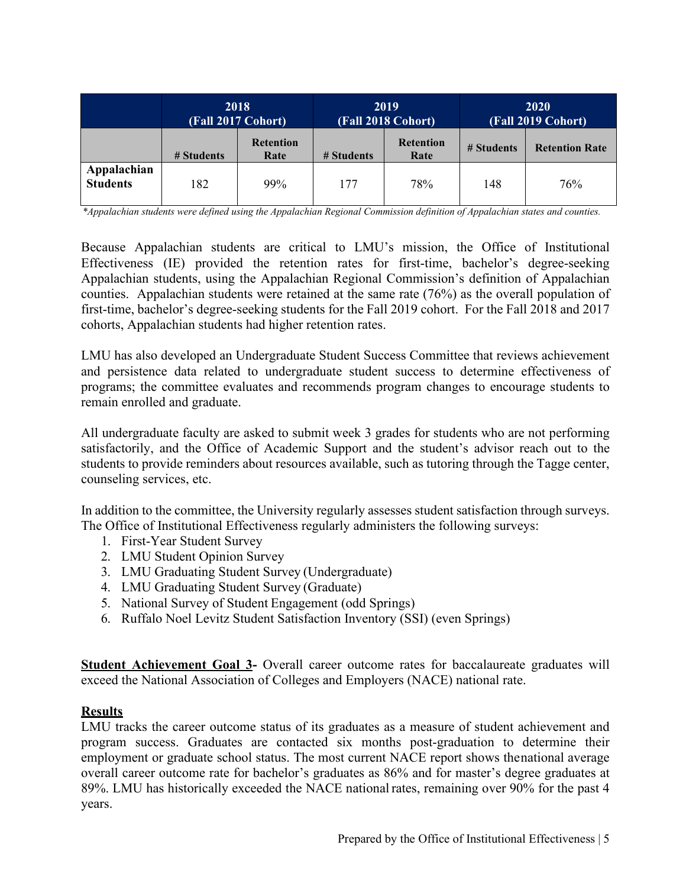|                                | 2018<br>(Fall 2017 Cohort) |                          |            | 2019<br>(Fall 2018 Cohort) | <b>2020</b><br>(Fall 2019 Cohort) |                       |  |
|--------------------------------|----------------------------|--------------------------|------------|----------------------------|-----------------------------------|-----------------------|--|
|                                | # Students                 | <b>Retention</b><br>Rate | # Students | <b>Retention</b><br>Rate   |                                   | <b>Retention Rate</b> |  |
| Appalachian<br><b>Students</b> | 182                        | 99%                      | 177        | 78%                        | 148                               | 76%                   |  |

*\*Appalachian students were defined using the Appalachian Regional Commission definition of Appalachian states and counties.*

Because Appalachian students are critical to LMU's mission, the Office of Institutional Effectiveness (IE) provided the retention rates for first-time, bachelor's degree-seeking Appalachian students, using the Appalachian Regional Commission's definition of Appalachian counties. Appalachian students were retained at the same rate (76%) as the overall population of first-time, bachelor's degree-seeking students for the Fall 2019 cohort. For the Fall 2018 and 2017 cohorts, Appalachian students had higher retention rates.

LMU has also developed an Undergraduate Student Success Committee that reviews achievement and persistence data related to undergraduate student success to determine effectiveness of programs; the committee evaluates and recommends program changes to encourage students to remain enrolled and graduate.

All undergraduate faculty are asked to submit week 3 grades for students who are not performing satisfactorily, and the Office of Academic Support and the student's advisor reach out to the students to provide reminders about resources available, such as tutoring through the Tagge center, counseling services, etc.

In addition to the committee, the University regularly assesses student satisfaction through surveys. The Office of Institutional Effectiveness regularly administers the following surveys:

- 1. First-Year Student Survey
- 2. LMU Student Opinion Survey
- 3. LMU Graduating Student Survey (Undergraduate)
- 4. LMU Graduating Student Survey (Graduate)
- 5. National Survey of Student Engagement (odd Springs)
- 6. Ruffalo Noel Levitz Student Satisfaction Inventory (SSI) (even Springs)

**Student Achievement Goal 3-** Overall career outcome rates for baccalaureate graduates will exceed the National Association of Colleges and Employers (NACE) national rate.

#### **Results**

LMU tracks the career outcome status of its graduates as a measure of student achievement and program success. Graduates are contacted six months post-graduation to determine their employment or graduate school status. The most current NACE report shows thenational average overall career outcome rate for bachelor's graduates as 86% and for master's degree graduates at 89%. LMU has historically exceeded the NACE nationalrates, remaining over 90% for the past 4 years.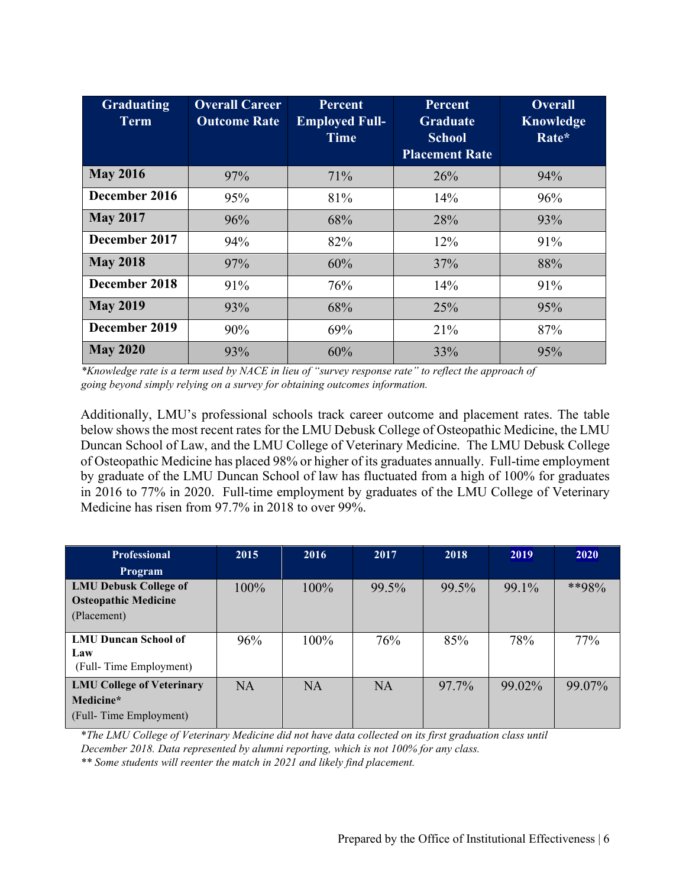| <b>Graduating</b><br><b>Term</b> | <b>Overall Career</b><br><b>Outcome Rate</b> | <b>Percent</b><br><b>Employed Full-</b><br><b>Time</b> | Percent<br><b>Graduate</b><br><b>School</b><br><b>Placement Rate</b> | <b>Overall</b><br><b>Knowledge</b><br>Rate* |
|----------------------------------|----------------------------------------------|--------------------------------------------------------|----------------------------------------------------------------------|---------------------------------------------|
| <b>May 2016</b>                  |                                              |                                                        |                                                                      |                                             |
|                                  | 97%                                          | 71%                                                    | 26%                                                                  | 94%                                         |
| December 2016                    | 95%                                          | 81%                                                    | 14%                                                                  | 96%                                         |
| <b>May 2017</b>                  | 96%                                          | 68%                                                    | 28%                                                                  | 93%                                         |
| December 2017                    | 94%                                          | 82%                                                    | 12%                                                                  | 91%                                         |
| <b>May 2018</b>                  | 97%                                          | 60%                                                    | 37%                                                                  | 88%                                         |
| December 2018                    | 91%                                          | 76%                                                    | 14%                                                                  | 91%                                         |
| <b>May 2019</b>                  | 93%                                          | 68%                                                    | 25%                                                                  | 95%                                         |
| December 2019                    | 90%                                          | 69%                                                    | 21%                                                                  | 87%                                         |
| <b>May 2020</b>                  | 93%                                          | 60%                                                    | 33%                                                                  | 95%                                         |

*\*Knowledge rate is a term used by NACE in lieu of "survey response rate" to reflect the approach of going beyond simply relying on a survey for obtaining outcomes information.*

Additionally, LMU's professional schools track career outcome and placement rates. The table below shows the most recent rates for the LMU Debusk College of Osteopathic Medicine, the LMU Duncan School of Law, and the LMU College of Veterinary Medicine. The LMU Debusk College of Osteopathic Medicine has placed 98% or higher of its graduates annually. Full-time employment by graduate of the LMU Duncan School of law has fluctuated from a high of 100% for graduates in 2016 to 77% in 2020. Full-time employment by graduates of the LMU College of Veterinary Medicine has risen from 97.7% in 2018 to over 99%.

| <b>Professional</b>                                                        | 2015      | 2016      | 2017      | 2018  | 2019   | 2020   |
|----------------------------------------------------------------------------|-----------|-----------|-----------|-------|--------|--------|
| <b>Program</b>                                                             |           |           |           |       |        |        |
| <b>LMU Debusk College of</b><br><b>Osteopathic Medicine</b><br>(Placement) | $100\%$   | $100\%$   | 99.5%     | 99.5% | 99.1%  | **98%  |
| <b>LMU Duncan School of</b><br>Law<br>(Full-Time Employment)               | 96%       | $100\%$   | 76%       | 85%   | 78%    | 77%    |
| <b>LMU College of Veterinary</b><br>Medicine*<br>(Full-Time Employment)    | <b>NA</b> | <b>NA</b> | <b>NA</b> | 97.7% | 99.02% | 99.07% |

\**The LMU College of Veterinary Medicine did not have data collected on its first graduation class until December 2018. Data represented by alumni reporting, which is not 100% for any class.*

*\*\* Some students will reenter the match in 2021 and likely find placement.*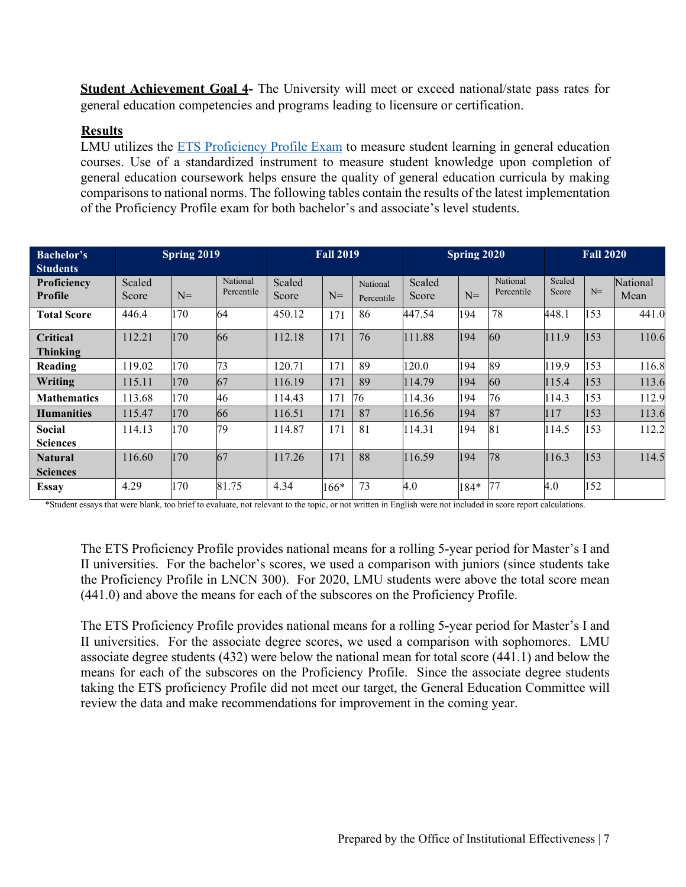**Student Achievement Goal 4-** The University will meet or exceed national/state pass rates for general education competencies and programs leading to licensure or certification.

# **Results**

LMU utilizes the **ETS Proficiency Profile Exam** to measure student learning in general education courses. Use of a standardized instrument to measure student knowledge upon completion of general education coursework helps ensure the quality of general education curricula by making comparisons to national norms. The following tables contain the results of the latest implementation of the Proficiency Profile exam for both bachelor's and associate's level students.

| <b>Bachelor's</b><br><b>Students</b> | Spring 2019     |       | <b>Fall 2019</b>       |                 | Spring 2020 |                        |                 |       | <b>Fall 2020</b>       |                 |      |                  |
|--------------------------------------|-----------------|-------|------------------------|-----------------|-------------|------------------------|-----------------|-------|------------------------|-----------------|------|------------------|
| <b>Proficiency</b><br>Profile        | Scaled<br>Score | $N =$ | National<br>Percentile | Scaled<br>Score | $N =$       | National<br>Percentile | Scaled<br>Score | $N =$ | National<br>Percentile | Scaled<br>Score | $N=$ | National<br>Mean |
| <b>Total Score</b>                   | 446.4           | 170   | 64                     | 450.12          | 171         | 86                     | 447.54          | 194   | 78                     | 448.1           | 153  | 441.0            |
| <b>Critical</b><br><b>Thinking</b>   | 112.21          | 170   | 66                     | 112.18          | 171         | 76                     | 111.88          | 194   | 60                     | 111.9           | 153  | 110.6            |
| Reading                              | 119.02          | 170   | 73                     | 120.71          | 171         | 89                     | 120.0           | 194   | 89                     | 119.9           | 153  | 116.8            |
| Writing                              | 115.11          | 170   | 67                     | 116.19          | 171         | 89                     | 114.79          | 194   | 60                     | 115.4           | 153  | 113.6            |
| <b>Mathematics</b>                   | 113.68          | 170   | 46                     | 114.43          | 171         | 76                     | 114.36          | 194   | 76                     | 114.3           | 153  | 112.9            |
| <b>Humanities</b>                    | 115.47          | 170   | 66                     | 116.51          | 171         | 87                     | 116.56          | 194   | 87                     | 117             | 153  | 113.6            |
| <b>Social</b><br><b>Sciences</b>     | 114.13          | 170   | 79                     | 114.87          | 171         | 81                     | 114.31          | 194   | 81                     | 114.5           | 153  | 112.2            |
| <b>Natural</b><br><b>Sciences</b>    | 116.60          | 170   | 67                     | 117.26          | 171         | 88                     | 116.59          | 194   | 78                     | 116.3           | 153  | 114.5            |
| <b>Essay</b>                         | 4.29            | 170   | 81.75                  | 4.34            | $166*$      | 73                     | 4.0             | 184*  | 77                     | 4.0             | 152  |                  |

\*Student essays that were blank, too brief to evaluate, not relevant to the topic, or not written in English were not included in score report calculations.

The ETS Proficiency Profile provides national means for a rolling 5-year period for Master's I and II universities. For the bachelor's scores, we used a comparison with juniors (since students take the Proficiency Profile in LNCN 300). For 2020, LMU students were above the total score mean (441.0) and above the means for each of the subscores on the Proficiency Profile.

The ETS Proficiency Profile provides national means for a rolling 5-year period for Master's I and II universities. For the associate degree scores, we used a comparison with sophomores. LMU associate degree students (432) were below the national mean for total score (441.1) and below the means for each of the subscores on the Proficiency Profile. Since the associate degree students taking the ETS proficiency Profile did not meet our target, the General Education Committee will review the data and make recommendations for improvement in the coming year.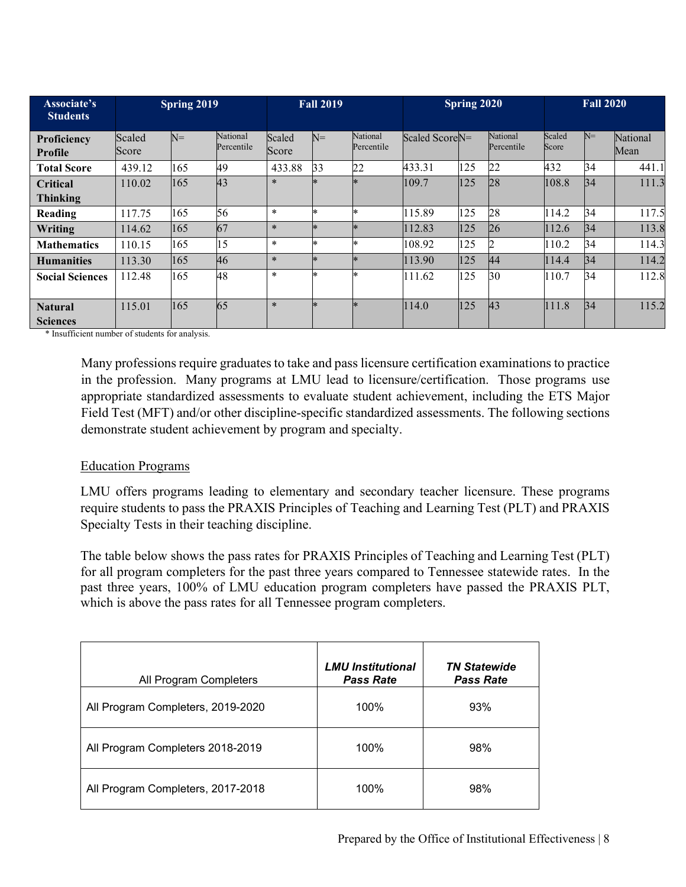| Associate's<br><b>Students</b>    |                 | Spring 2019 |                        |                 | <b>Fall 2019</b> |                        |                            | Spring 2020 |                        |                 | <b>Fall 2020</b> |                  |
|-----------------------------------|-----------------|-------------|------------------------|-----------------|------------------|------------------------|----------------------------|-------------|------------------------|-----------------|------------------|------------------|
| Proficiency<br><b>Profile</b>     | Scaled<br>Score | $N =$       | National<br>Percentile | Scaled<br>Score | $N=$             | National<br>Percentile | Scaled Score <sub>N=</sub> |             | National<br>Percentile | Scaled<br>Score | $N=$             | National<br>Mean |
| <b>Total Score</b>                | 439.12          | 165         | 49                     | 433.88          | 33               | 22                     | 433.31                     | 125         | 22                     | 432             | 34               | 441.1            |
| Critical<br><b>Thinking</b>       | 110.02          | 165         | 43                     | $\ast$          |                  | $\ast$                 | 109.7                      | 125         | 28                     | 108.8           | $\overline{34}$  | 111.3            |
| Reading                           | 117.75          | 165         | 56                     | $\ast$          |                  | *                      | 115.89                     | 125         | 28                     | 114.2           | 34               | 117.5            |
| Writing                           | 114.62          | 165         | 67                     | $\ast$          |                  | $\ast$                 | 112.83                     | 125         | 26                     | 112.6           | 34               | 113.8            |
| <b>Mathematics</b>                | 110.15          | 165         | 15                     | $\ast$          |                  | *                      | 108.92                     | 125         |                        | 110.2           | 34               | 114.3            |
| <b>Humanities</b>                 | 113.30          | 165         | 46                     | $\ast$          | $\ast$           | $\ast$                 | 113.90                     | 125         | 44                     | 114.4           | 34               | 114.2            |
| <b>Social Sciences</b>            | 112.48          | 165         | 48                     | $\ast$          |                  | $\ast$                 | 111.62                     | 125         | 30                     | 110.7           | 34               | 112.8            |
| <b>Natural</b><br><b>Sciences</b> | 115.01          | 165         | 65                     | $\ast$          | $\ast$           | $\ast$                 | 114.0                      | 125         | 43                     | 111.8           | 34               | 115.2            |

\* Insufficient number of students for analysis.

Many professions require graduates to take and pass licensure certification examinations to practice in the profession. Many programs at LMU lead to licensure/certification. Those programs use appropriate standardized assessments to evaluate student achievement, including the ETS Major Field Test (MFT) and/or other discipline-specific standardized assessments. The following sections demonstrate student achievement by program and specialty.

#### Education Programs

LMU offers programs leading to elementary and secondary teacher licensure. These programs require students to pass the PRAXIS Principles of Teaching and Learning Test (PLT) and PRAXIS Specialty Tests in their teaching discipline.

The table below shows the pass rates for PRAXIS Principles of Teaching and Learning Test (PLT) for all program completers for the past three years compared to Tennessee statewide rates. In the past three years, 100% of LMU education program completers have passed the PRAXIS PLT, which is above the pass rates for all Tennessee program completers.

| All Program Completers            | <b>LMU Institutional</b><br><b>Pass Rate</b> | <b>TN Statewide</b><br><b>Pass Rate</b> |
|-----------------------------------|----------------------------------------------|-----------------------------------------|
| All Program Completers, 2019-2020 | 100%                                         | 93%                                     |
| All Program Completers 2018-2019  | 100%                                         | 98%                                     |
| All Program Completers, 2017-2018 | 100%                                         | 98%                                     |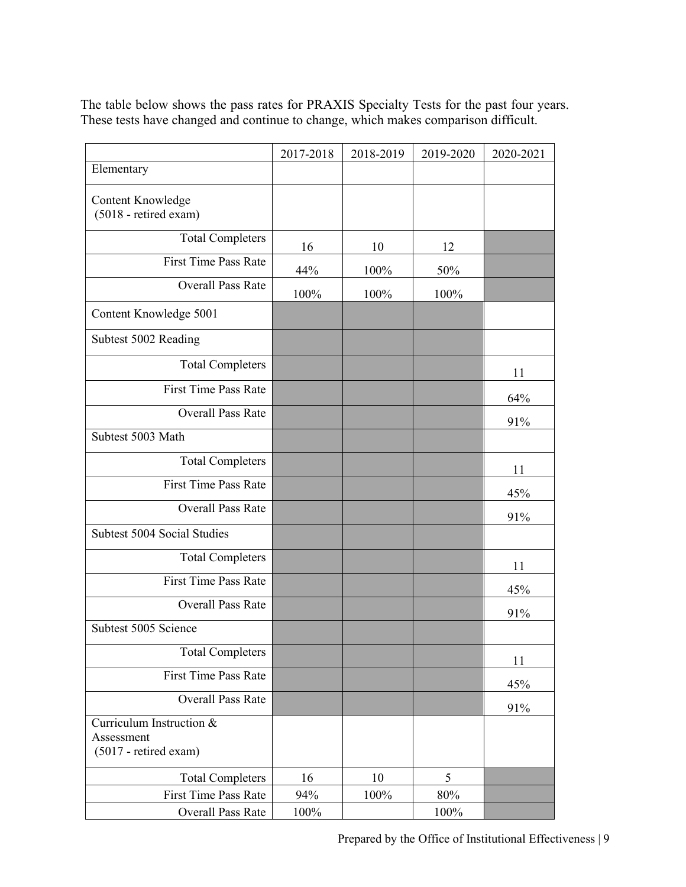The table below shows the pass rates for PRAXIS Specialty Tests for the past four years. These tests have changed and continue to change, which makes comparison difficult.

|                                                                   | 2017-2018 | 2018-2019 | 2019-2020 | 2020-2021 |
|-------------------------------------------------------------------|-----------|-----------|-----------|-----------|
| Elementary                                                        |           |           |           |           |
| <b>Content Knowledge</b><br>(5018 - retired exam)                 |           |           |           |           |
| <b>Total Completers</b>                                           | 16        | 10        | 12        |           |
| <b>First Time Pass Rate</b>                                       | 44%       | 100%      | 50%       |           |
| <b>Overall Pass Rate</b>                                          | 100%      | 100%      | 100%      |           |
| Content Knowledge 5001                                            |           |           |           |           |
| Subtest 5002 Reading                                              |           |           |           |           |
| <b>Total Completers</b>                                           |           |           |           | 11        |
| <b>First Time Pass Rate</b>                                       |           |           |           | 64%       |
| <b>Overall Pass Rate</b>                                          |           |           |           | 91%       |
| Subtest 5003 Math                                                 |           |           |           |           |
| <b>Total Completers</b>                                           |           |           |           | 11        |
| <b>First Time Pass Rate</b>                                       |           |           |           | 45%       |
| <b>Overall Pass Rate</b>                                          |           |           |           | 91%       |
| Subtest 5004 Social Studies                                       |           |           |           |           |
| <b>Total Completers</b>                                           |           |           |           | 11        |
| First Time Pass Rate                                              |           |           |           | 45%       |
| <b>Overall Pass Rate</b>                                          |           |           |           | 91%       |
| Subtest 5005 Science                                              |           |           |           |           |
| <b>Total Completers</b>                                           |           |           |           | 11        |
| <b>First Time Pass Rate</b>                                       |           |           |           | 45%       |
| <b>Overall Pass Rate</b>                                          |           |           |           | 91%       |
| Curriculum Instruction &<br>Assessment<br>$(5017 -$ retired exam) |           |           |           |           |
| <b>Total Completers</b>                                           | 16        | 10        | 5         |           |
| First Time Pass Rate                                              | 94%       | 100%      | 80%       |           |
| Overall Pass Rate                                                 | 100%      |           | 100%      |           |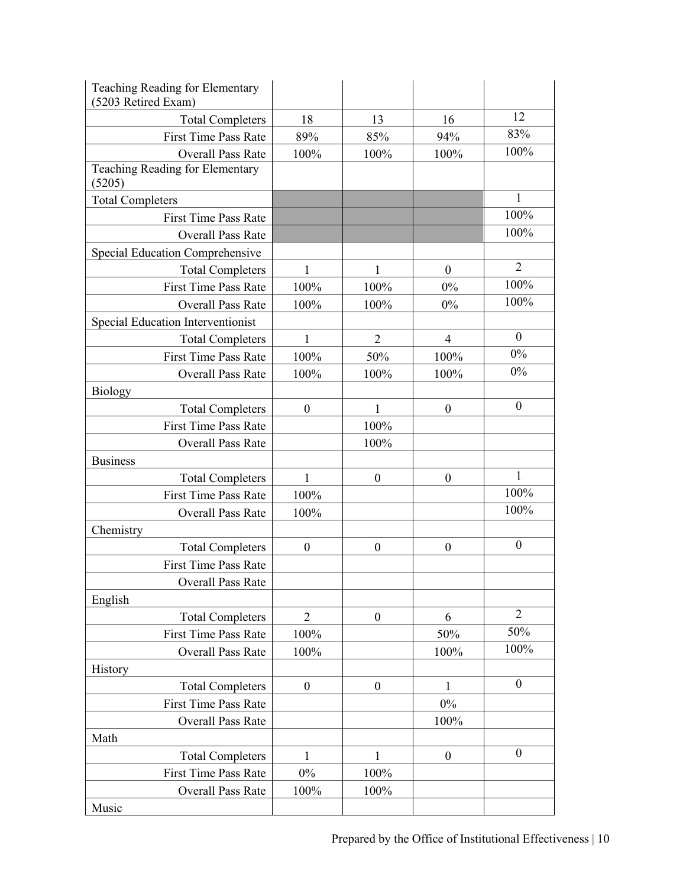| Teaching Reading for Elementary<br>5203 Retired Exam) |                  |                  |                  |                  |
|-------------------------------------------------------|------------------|------------------|------------------|------------------|
| <b>Total Completers</b>                               | 18               | 13               | 16               | 12               |
| <b>First Time Pass Rate</b>                           | 89%              | 85%              | 94%              | 83%              |
| <b>Overall Pass Rate</b>                              | 100%             | 100%             | 100%             | 100%             |
| Teaching Reading for Elementary<br>(5205)             |                  |                  |                  |                  |
| <b>Total Completers</b>                               |                  |                  |                  | 1                |
| <b>First Time Pass Rate</b>                           |                  |                  |                  | 100%             |
| <b>Overall Pass Rate</b>                              |                  |                  |                  | 100%             |
| Special Education Comprehensive                       |                  |                  |                  |                  |
| <b>Total Completers</b>                               | 1                | 1                | $\boldsymbol{0}$ | $\overline{2}$   |
| <b>First Time Pass Rate</b>                           | 100%             | 100%             | $0\%$            | 100%             |
| <b>Overall Pass Rate</b>                              | 100%             | 100%             | $0\%$            | 100%             |
| Special Education Interventionist                     |                  |                  |                  |                  |
| <b>Total Completers</b>                               | $\mathbf{1}$     | $\overline{2}$   | $\overline{4}$   | $\boldsymbol{0}$ |
| <b>First Time Pass Rate</b>                           | 100%             | 50%              | 100%             | $0\%$            |
| <b>Overall Pass Rate</b>                              | 100%             | 100%             | 100%             | $0\%$            |
| <b>Biology</b>                                        |                  |                  |                  |                  |
| <b>Total Completers</b>                               | $\boldsymbol{0}$ | 1                | $\boldsymbol{0}$ | $\mathbf{0}$     |
| <b>First Time Pass Rate</b>                           |                  | 100%             |                  |                  |
| <b>Overall Pass Rate</b>                              |                  | 100%             |                  |                  |
| <b>Business</b>                                       |                  |                  |                  |                  |
| <b>Total Completers</b>                               | 1                | $\boldsymbol{0}$ | $\boldsymbol{0}$ | 1                |
| <b>First Time Pass Rate</b>                           | 100%             |                  |                  | 100%             |
| <b>Overall Pass Rate</b>                              | 100%             |                  |                  | 100%             |
| Chemistry                                             |                  |                  |                  |                  |
| <b>Total Completers</b>                               | $\boldsymbol{0}$ | $\boldsymbol{0}$ | $\boldsymbol{0}$ | $\boldsymbol{0}$ |
| <b>First Time Pass Rate</b>                           |                  |                  |                  |                  |
| Overall Pass Rate                                     |                  |                  |                  |                  |
| English                                               |                  |                  |                  |                  |
| <b>Total Completers</b>                               | $\overline{2}$   | $\boldsymbol{0}$ | 6                | $\overline{2}$   |
| <b>First Time Pass Rate</b>                           | 100%             |                  | 50%              | 50%              |
| <b>Overall Pass Rate</b>                              | 100%             |                  | 100%             | 100%             |
| History                                               |                  |                  |                  |                  |
| <b>Total Completers</b>                               | $\boldsymbol{0}$ | $\boldsymbol{0}$ | 1                | $\boldsymbol{0}$ |
| <b>First Time Pass Rate</b>                           |                  |                  | $0\%$            |                  |
| Overall Pass Rate                                     |                  |                  | 100%             |                  |
| Math                                                  |                  |                  |                  |                  |
| <b>Total Completers</b>                               | 1                | $\mathbf{1}$     | $\boldsymbol{0}$ | $\boldsymbol{0}$ |
| <b>First Time Pass Rate</b>                           | 0%               | 100%             |                  |                  |
| Overall Pass Rate                                     | 100%             | 100%             |                  |                  |
| Music                                                 |                  |                  |                  |                  |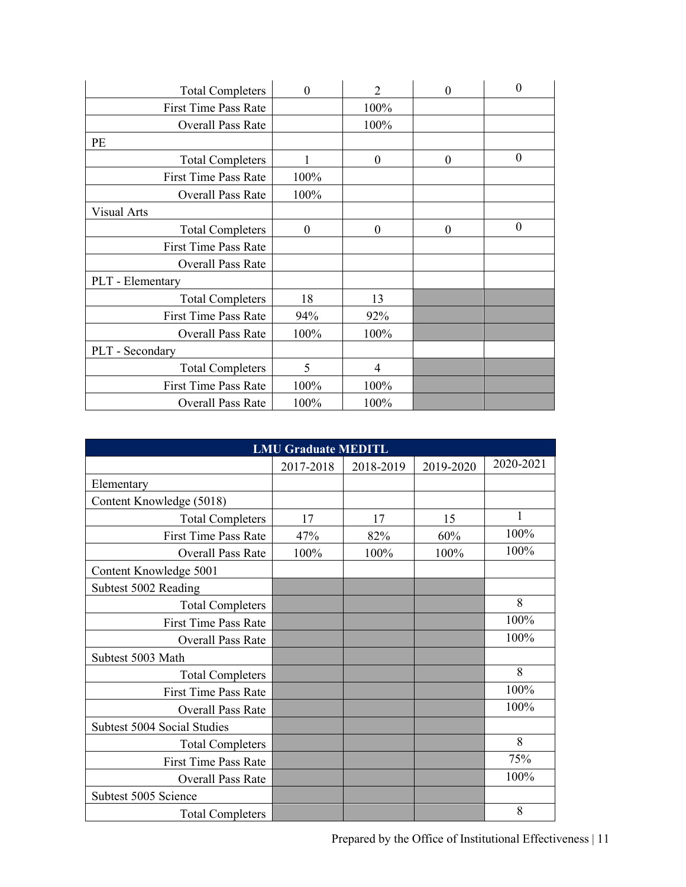| <b>Total Completers</b>     | $\Omega$ | $\overline{2}$   | $\theta$         | $\theta$         |
|-----------------------------|----------|------------------|------------------|------------------|
| <b>First Time Pass Rate</b> |          | 100%             |                  |                  |
| <b>Overall Pass Rate</b>    |          | 100%             |                  |                  |
| PE                          |          |                  |                  |                  |
| <b>Total Completers</b>     |          | $\boldsymbol{0}$ | $\theta$         | $\boldsymbol{0}$ |
| <b>First Time Pass Rate</b> | 100%     |                  |                  |                  |
| <b>Overall Pass Rate</b>    | 100%     |                  |                  |                  |
| Visual Arts                 |          |                  |                  |                  |
| <b>Total Completers</b>     | $\theta$ | $\boldsymbol{0}$ | $\boldsymbol{0}$ | $\mathbf{0}$     |
| <b>First Time Pass Rate</b> |          |                  |                  |                  |
| Overall Pass Rate           |          |                  |                  |                  |
| PLT - Elementary            |          |                  |                  |                  |
| <b>Total Completers</b>     | 18       | 13               |                  |                  |
| <b>First Time Pass Rate</b> | 94%      | 92%              |                  |                  |
| <b>Overall Pass Rate</b>    | 100%     | 100%             |                  |                  |
| PLT - Secondary             |          |                  |                  |                  |
| <b>Total Completers</b>     | 5        | 4                |                  |                  |
| <b>First Time Pass Rate</b> | 100%     | 100%             |                  |                  |
| <b>Overall Pass Rate</b>    | 100%     | 100%             |                  |                  |

| <b>LMU Graduate MEDITL</b>  |           |           |           |           |  |  |  |  |  |
|-----------------------------|-----------|-----------|-----------|-----------|--|--|--|--|--|
|                             | 2017-2018 | 2018-2019 | 2019-2020 | 2020-2021 |  |  |  |  |  |
| Elementary                  |           |           |           |           |  |  |  |  |  |
| Content Knowledge (5018)    |           |           |           |           |  |  |  |  |  |
| <b>Total Completers</b>     | 17        | 17        | 15        | 1         |  |  |  |  |  |
| <b>First Time Pass Rate</b> | 47%       | 82%       | 60%       | 100%      |  |  |  |  |  |
| <b>Overall Pass Rate</b>    | 100%      | 100%      | 100%      | 100%      |  |  |  |  |  |
| Content Knowledge 5001      |           |           |           |           |  |  |  |  |  |
| Subtest 5002 Reading        |           |           |           |           |  |  |  |  |  |
| <b>Total Completers</b>     |           |           |           | 8         |  |  |  |  |  |
| <b>First Time Pass Rate</b> |           |           |           | 100%      |  |  |  |  |  |
| <b>Overall Pass Rate</b>    |           |           |           | 100%      |  |  |  |  |  |
| Subtest 5003 Math           |           |           |           |           |  |  |  |  |  |
| <b>Total Completers</b>     |           |           |           | 8         |  |  |  |  |  |
| <b>First Time Pass Rate</b> |           |           |           | 100%      |  |  |  |  |  |
| <b>Overall Pass Rate</b>    |           |           |           | 100%      |  |  |  |  |  |
| Subtest 5004 Social Studies |           |           |           |           |  |  |  |  |  |
| <b>Total Completers</b>     |           |           |           | 8         |  |  |  |  |  |
| <b>First Time Pass Rate</b> |           |           |           | 75%       |  |  |  |  |  |
| <b>Overall Pass Rate</b>    |           |           |           | 100%      |  |  |  |  |  |
| Subtest 5005 Science        |           |           |           |           |  |  |  |  |  |
| <b>Total Completers</b>     |           |           |           | 8         |  |  |  |  |  |

Prepared by the Office of Institutional Effectiveness | 11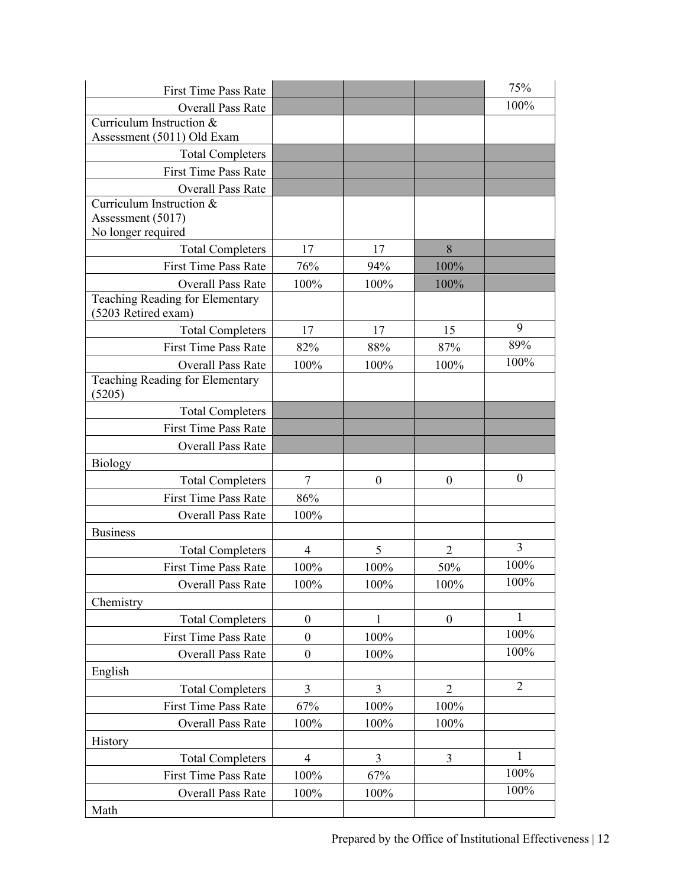| <b>First Time Pass Rate</b>                            |                  |                  |                  | 75%            |
|--------------------------------------------------------|------------------|------------------|------------------|----------------|
| <b>Overall Pass Rate</b>                               |                  |                  |                  | 100%           |
| Curriculum Instruction &                               |                  |                  |                  |                |
| Assessment (5011) Old Exam                             |                  |                  |                  |                |
| <b>Total Completers</b>                                |                  |                  |                  |                |
| <b>First Time Pass Rate</b>                            |                  |                  |                  |                |
| <b>Overall Pass Rate</b>                               |                  |                  |                  |                |
| Curriculum Instruction &                               |                  |                  |                  |                |
| Assessment (5017)                                      |                  |                  |                  |                |
| No longer required                                     |                  |                  |                  |                |
| <b>Total Completers</b>                                | 17               | 17               | 8                |                |
| <b>First Time Pass Rate</b>                            | 76%              | 94%              | 100%             |                |
| <b>Overall Pass Rate</b>                               | 100%             | 100%             | 100%             |                |
| Teaching Reading for Elementary<br>(5203 Retired exam) |                  |                  |                  |                |
|                                                        |                  |                  |                  | 9              |
| <b>Total Completers</b>                                | 17               | 17               | 15               | 89%            |
| <b>First Time Pass Rate</b>                            | 82%              | 88%              | 87%              | 100%           |
| <b>Overall Pass Rate</b>                               | 100%             | 100%             | 100%             |                |
| Teaching Reading for Elementary<br>(5205)              |                  |                  |                  |                |
| <b>Total Completers</b>                                |                  |                  |                  |                |
| <b>First Time Pass Rate</b>                            |                  |                  |                  |                |
| <b>Overall Pass Rate</b>                               |                  |                  |                  |                |
| <b>Biology</b>                                         |                  |                  |                  |                |
| <b>Total Completers</b>                                | 7                | $\boldsymbol{0}$ | $\boldsymbol{0}$ | $\mathbf{0}$   |
| <b>First Time Pass Rate</b>                            | 86%              |                  |                  |                |
| <b>Overall Pass Rate</b>                               | 100%             |                  |                  |                |
| <b>Business</b>                                        |                  |                  |                  |                |
| <b>Total Completers</b>                                | $\overline{4}$   | 5                | $\overline{2}$   | $\overline{3}$ |
| <b>First Time Pass Rate</b>                            | 100%             | 100%             | 50%              | 100%           |
| Overall Pass Rate                                      | 100%             | 100%             | 100%             | 100%           |
| Chemistry                                              |                  |                  |                  |                |
| <b>Total Completers</b>                                | $\boldsymbol{0}$ | 1                | $\boldsymbol{0}$ | 1              |
| <b>First Time Pass Rate</b>                            | $\boldsymbol{0}$ | 100%             |                  | 100%           |
| Overall Pass Rate                                      | $\boldsymbol{0}$ | 100%             |                  | 100%           |
| English                                                |                  |                  |                  |                |
| <b>Total Completers</b>                                | $\overline{3}$   | 3                | $\overline{2}$   | $\overline{2}$ |
| <b>First Time Pass Rate</b>                            | 67%              | 100%             | 100%             |                |
| <b>Overall Pass Rate</b>                               | 100%             | 100%             | 100%             |                |
| History                                                |                  |                  |                  |                |
| <b>Total Completers</b>                                | $\overline{4}$   | 3                | 3                | $\mathbf{1}$   |
| First Time Pass Rate                                   | 100%             | 67%              |                  | 100%           |
| Overall Pass Rate                                      | 100%             | 100%             |                  | 100%           |
|                                                        |                  |                  |                  |                |
| Math                                                   |                  |                  |                  |                |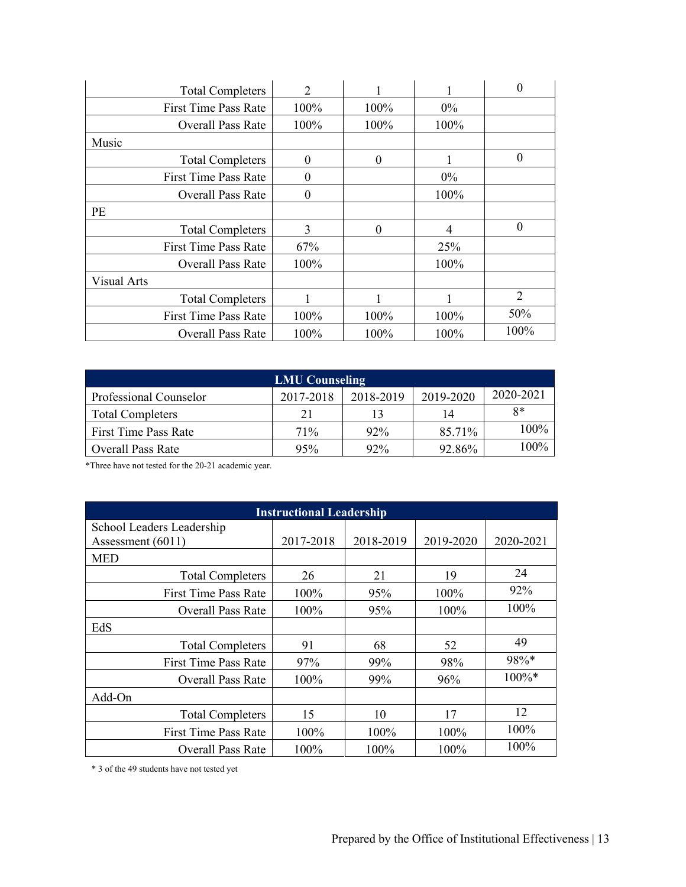|             | <b>Total Completers</b>     | 2        |          | 1     | 0              |
|-------------|-----------------------------|----------|----------|-------|----------------|
|             | <b>First Time Pass Rate</b> | 100%     | 100%     | $0\%$ |                |
|             | <b>Overall Pass Rate</b>    | 100%     | 100%     | 100%  |                |
| Music       |                             |          |          |       |                |
|             | <b>Total Completers</b>     | $\theta$ | $\theta$ |       | $\overline{0}$ |
|             | <b>First Time Pass Rate</b> | 0        |          | $0\%$ |                |
|             | <b>Overall Pass Rate</b>    | 0        |          | 100%  |                |
| <b>PE</b>   |                             |          |          |       |                |
|             | <b>Total Completers</b>     | 3        | $\theta$ | 4     | $\theta$       |
|             | <b>First Time Pass Rate</b> | 67%      |          | 25%   |                |
|             | <b>Overall Pass Rate</b>    | 100%     |          | 100%  |                |
| Visual Arts |                             |          |          |       |                |
|             | <b>Total Completers</b>     |          | 1        | 1     | 2              |
|             | <b>First Time Pass Rate</b> | 100%     | 100%     | 100%  | 50%            |
|             | <b>Overall Pass Rate</b>    | 100%     | 100%     | 100%  | 100%           |

| <b>LMU Counseling</b>   |           |           |           |           |  |  |  |  |  |
|-------------------------|-----------|-----------|-----------|-----------|--|--|--|--|--|
| Professional Counselor  | 2017-2018 | 2018-2019 | 2019-2020 | 2020-2021 |  |  |  |  |  |
| <b>Total Completers</b> | 21        | 13        | 14        | $8*$      |  |  |  |  |  |
| First Time Pass Rate    | 71%       | $92\%$    | 85.71%    | 100%      |  |  |  |  |  |
| Overall Pass Rate       | 95%       | $92\%$    | 92.86%    | 100%      |  |  |  |  |  |

\*Three have not tested for the 20-21 academic year.

| <b>Instructional Leadership</b>                  |           |           |           |           |  |  |  |  |  |
|--------------------------------------------------|-----------|-----------|-----------|-----------|--|--|--|--|--|
| School Leaders Leadership<br>Assessment $(6011)$ | 2017-2018 | 2018-2019 | 2019-2020 | 2020-2021 |  |  |  |  |  |
| <b>MED</b>                                       |           |           |           |           |  |  |  |  |  |
| <b>Total Completers</b>                          | 26        | 21        | 19        | 24        |  |  |  |  |  |
| <b>First Time Pass Rate</b>                      | 100%      | 95%       | 100%      | 92%       |  |  |  |  |  |
| <b>Overall Pass Rate</b>                         | $100\%$   | 95%       | 100%      | 100%      |  |  |  |  |  |
| EdS                                              |           |           |           |           |  |  |  |  |  |
| <b>Total Completers</b>                          | 91        | 68        | 52        | 49        |  |  |  |  |  |
| <b>First Time Pass Rate</b>                      | 97%       | 99%       | 98%       | 98%*      |  |  |  |  |  |
| <b>Overall Pass Rate</b>                         | 100%      | 99%       | 96%       | $100\%*$  |  |  |  |  |  |
| Add-On                                           |           |           |           |           |  |  |  |  |  |
| <b>Total Completers</b>                          | 15        | 10        | 17        | 12        |  |  |  |  |  |
| <b>First Time Pass Rate</b>                      | 100%      | 100%      | 100%      | $100\%$   |  |  |  |  |  |
| <b>Overall Pass Rate</b>                         | 100%      | 100%      | 100%      | $100\%$   |  |  |  |  |  |

\* 3 of the 49 students have not tested yet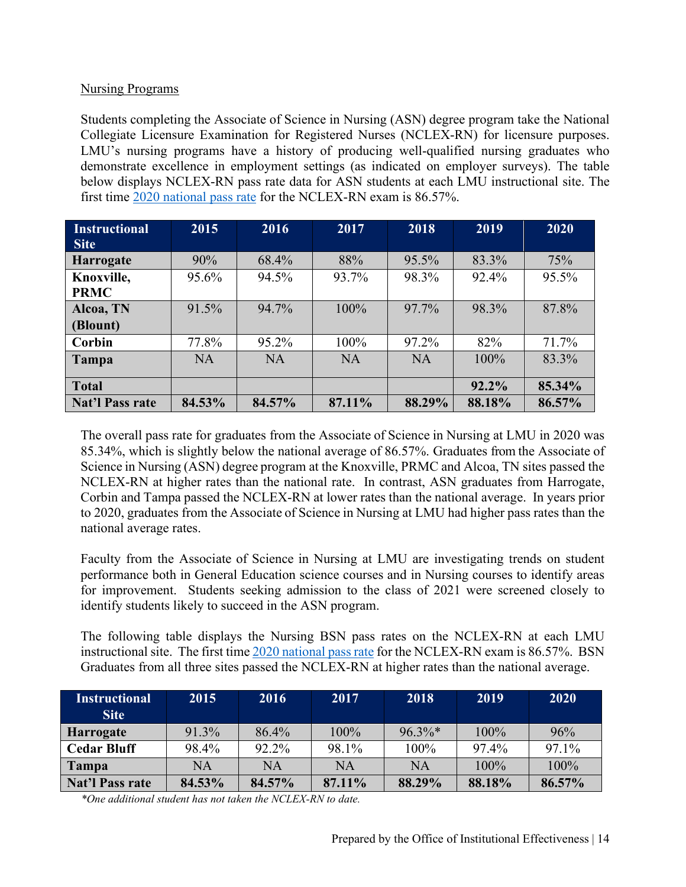#### Nursing Programs

Students completing the Associate of Science in Nursing (ASN) degree program take the National Collegiate Licensure Examination for Registered Nurses (NCLEX-RN) for licensure purposes. LMU's nursing programs have a history of producing well-qualified nursing graduates who demonstrate excellence in employment settings (as indicated on employer surveys). The table below displays NCLEX-RN pass rate data for ASN students at each LMU instructional site. The first time 2020 [national pass rate](https://www.ncsbn.org/Table_of_Pass_Rates_2020_Q4.pdf) for the NCLEX-RN exam is 86.57%.

| <b>Instructional</b> | 2015      | 2016      | 2017      | 2018      | 2019   | 2020   |
|----------------------|-----------|-----------|-----------|-----------|--------|--------|
| <b>Site</b>          |           |           |           |           |        |        |
| <b>Harrogate</b>     | 90%       | 68.4%     | 88%       | 95.5%     | 83.3%  | 75%    |
| Knoxville,           | 95.6%     | 94.5%     | 93.7%     | 98.3%     | 92.4%  | 95.5%  |
| <b>PRMC</b>          |           |           |           |           |        |        |
| Alcoa, TN            | 91.5%     | 94.7%     | 100%      | 97.7%     | 98.3%  | 87.8%  |
| (Blount)             |           |           |           |           |        |        |
| Corbin               | 77.8%     | 95.2%     | 100%      | 97.2%     | 82%    | 71.7%  |
| Tampa                | <b>NA</b> | <b>NA</b> | <b>NA</b> | <b>NA</b> | 100%   | 83.3%  |
|                      |           |           |           |           |        |        |
| <b>Total</b>         |           |           |           |           | 92.2%  | 85.34% |
| Nat'l Pass rate      | 84.53%    | 84.57%    | 87.11%    | 88.29%    | 88.18% | 86.57% |

The overall pass rate for graduates from the Associate of Science in Nursing at LMU in 2020 was 85.34%, which is slightly below the national average of 86.57%. Graduates from the Associate of Science in Nursing (ASN) degree program at the Knoxville, PRMC and Alcoa, TN sites passed the NCLEX-RN at higher rates than the national rate. In contrast, ASN graduates from Harrogate, Corbin and Tampa passed the NCLEX-RN at lower rates than the national average. In years prior to 2020, graduates from the Associate of Science in Nursing at LMU had higher pass rates than the national average rates.

Faculty from the Associate of Science in Nursing at LMU are investigating trends on student performance both in General Education science courses and in Nursing courses to identify areas for improvement. Students seeking admission to the class of 2021 were screened closely to identify students likely to succeed in the ASN program.

The following table displays the Nursing BSN pass rates on the NCLEX-RN at each LMU instructional site. The first time 2020 [national pass rate](https://www.ncsbn.org/Table_of_Pass_Rates_2020_Q4.pdf) for the NCLEX-RN exam is 86.57%. BSN Graduates from all three sites passed the NCLEX-RN at higher rates than the national average.

| <b>Instructional</b><br><b>Site</b> | 2015   | 2016   | 2017    | 2018      | 2019    | 2020   |
|-------------------------------------|--------|--------|---------|-----------|---------|--------|
| <b>Harrogate</b>                    | 91.3%  | 86.4%  | $100\%$ | $96.3\%*$ | $100\%$ | 96%    |
| <b>Cedar Bluff</b>                  | 98.4%  | 92.2%  | 98.1%   | 100%      | 97.4%   | 97.1%  |
| Tampa                               | NA     | NA     | NA      | <b>NA</b> | 100%    | 100%   |
| <b>Nat'l Pass rate</b>              | 84.53% | 84.57% | 87.11%  | 88.29%    | 88.18%  | 86.57% |

*\*One additional student has not taken the NCLEX-RN to date.*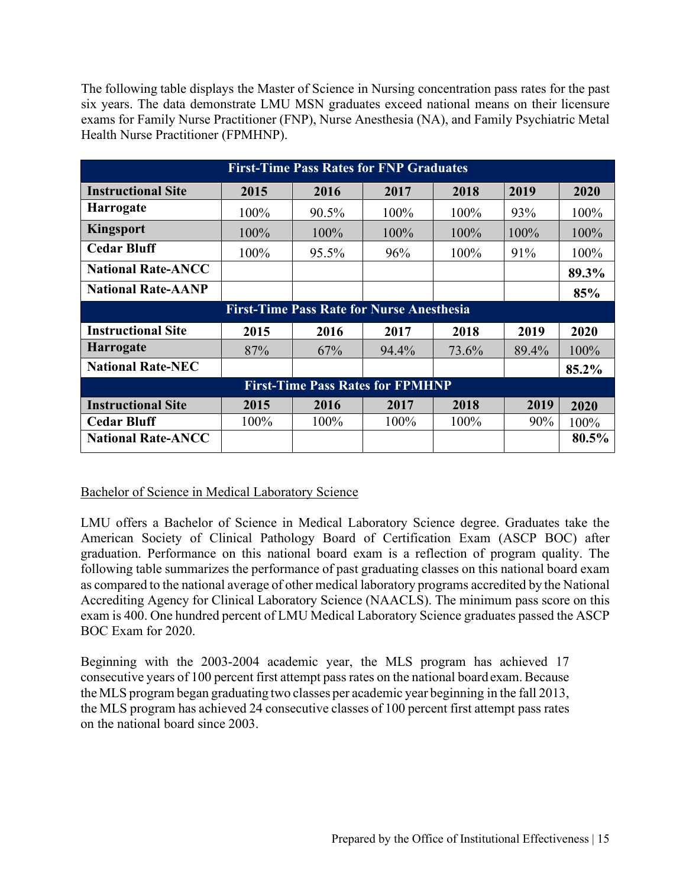The following table displays the Master of Science in Nursing concentration pass rates for the past six years. The data demonstrate LMU MSN graduates exceed national means on their licensure exams for Family Nurse Practitioner (FNP), Nurse Anesthesia (NA), and Family Psychiatric Metal Health Nurse Practitioner (FPMHNP).

|                           | <b>First-Time Pass Rates for FNP Graduates</b> |          |                                                  |       |       |       |  |  |  |  |  |
|---------------------------|------------------------------------------------|----------|--------------------------------------------------|-------|-------|-------|--|--|--|--|--|
| <b>Instructional Site</b> | 2015<br>2016<br>2017<br>2018<br>2019<br>2020   |          |                                                  |       |       |       |  |  |  |  |  |
| <b>Harrogate</b>          | 100%                                           | $90.5\%$ | 100%                                             | 100%  | 93%   | 100%  |  |  |  |  |  |
| <b>Kingsport</b>          | 100%                                           | 100%     | 100%                                             | 100%  | 100%  | 100%  |  |  |  |  |  |
| <b>Cedar Bluff</b>        | 100%                                           | 95.5%    | 96%                                              | 100%  | 91%   | 100%  |  |  |  |  |  |
| <b>National Rate-ANCC</b> |                                                |          |                                                  |       |       | 89.3% |  |  |  |  |  |
| <b>National Rate-AANP</b> |                                                |          |                                                  |       |       | 85%   |  |  |  |  |  |
|                           |                                                |          | <b>First-Time Pass Rate for Nurse Anesthesia</b> |       |       |       |  |  |  |  |  |
| <b>Instructional Site</b> | 2015                                           | 2016     | 2017                                             | 2018  | 2019  | 2020  |  |  |  |  |  |
| <b>Harrogate</b>          | 87%                                            | 67%      | 94.4%                                            | 73.6% | 89.4% | 100%  |  |  |  |  |  |
| <b>National Rate-NEC</b>  |                                                |          |                                                  |       |       | 85.2% |  |  |  |  |  |
|                           |                                                |          | <b>First-Time Pass Rates for FPMHNP</b>          |       |       |       |  |  |  |  |  |
| <b>Instructional Site</b> | 2015                                           | 2016     | 2017                                             | 2018  | 2019  | 2020  |  |  |  |  |  |
| <b>Cedar Bluff</b>        | 100%                                           | 100%     | 100%                                             | 100%  | 90%   | 100%  |  |  |  |  |  |
| <b>National Rate-ANCC</b> |                                                |          |                                                  |       |       | 80.5% |  |  |  |  |  |

#### Bachelor of Science in Medical Laboratory Science

LMU offers a Bachelor of Science in Medical Laboratory Science degree. Graduates take the American Society of Clinical Pathology Board of Certification Exam (ASCP BOC) after graduation. Performance on this national board exam is a reflection of program quality. The following table summarizes the performance of past graduating classes on this national board exam as compared to the national average of other medical laboratory programs accredited by the National Accrediting Agency for Clinical Laboratory Science (NAACLS). The minimum pass score on this exam is 400. One hundred percent of LMU Medical Laboratory Science graduates passed the ASCP BOC Exam for 2020.

Beginning with the 2003-2004 academic year, the MLS program has achieved 17 consecutive years of 100 percent first attempt pass rates on the national board exam.Because the MLS program began graduating two classes per academic year beginning in the fall 2013, the MLS program has achieved 24 consecutive classes of 100 percent first attempt pass rates on the national board since 2003.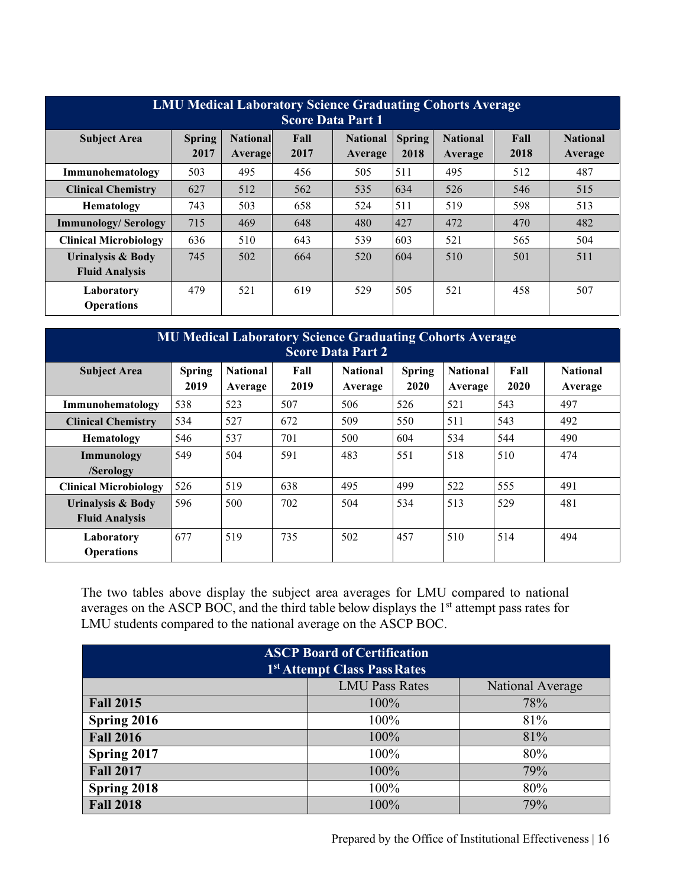| <b>LMU Medical Laboratory Science Graduating Cohorts Average</b><br><b>Score Data Part 1</b> |                                                                                                                                                                                                               |     |     |     |     |     |     |     |  |  |  |
|----------------------------------------------------------------------------------------------|---------------------------------------------------------------------------------------------------------------------------------------------------------------------------------------------------------------|-----|-----|-----|-----|-----|-----|-----|--|--|--|
| <b>Subject Area</b>                                                                          | <b>Spring</b><br><b>National</b><br><b>National</b><br>Fall<br><b>National</b><br><b>Spring</b><br>Fall<br><b>National</b><br>2017<br>2018<br>2017<br>2018<br><b>Average</b><br>Average<br>Average<br>Average |     |     |     |     |     |     |     |  |  |  |
| Immunohematology                                                                             | 503                                                                                                                                                                                                           | 495 | 456 | 505 | 511 | 495 | 512 | 487 |  |  |  |
| <b>Clinical Chemistry</b>                                                                    | 627                                                                                                                                                                                                           | 512 | 562 | 535 | 634 | 526 | 546 | 515 |  |  |  |
| Hematology                                                                                   | 743                                                                                                                                                                                                           | 503 | 658 | 524 | 511 | 519 | 598 | 513 |  |  |  |
| <b>Immunology/Serology</b>                                                                   | 715                                                                                                                                                                                                           | 469 | 648 | 480 | 427 | 472 | 470 | 482 |  |  |  |
| <b>Clinical Microbiology</b>                                                                 | 636                                                                                                                                                                                                           | 510 | 643 | 539 | 603 | 521 | 565 | 504 |  |  |  |
| Urinalysis & Body<br><b>Fluid Analysis</b>                                                   | 745                                                                                                                                                                                                           | 502 | 664 | 520 | 604 | 510 | 501 | 511 |  |  |  |
| Laboratory<br><b>Operations</b>                                                              | 479                                                                                                                                                                                                           | 521 | 619 | 529 | 505 | 521 | 458 | 507 |  |  |  |

| <b>MU Medical Laboratory Science Graduating Cohorts Average</b><br><b>Score Data Part 2</b> |                       |                            |              |                            |                       |                            |              |                            |  |
|---------------------------------------------------------------------------------------------|-----------------------|----------------------------|--------------|----------------------------|-----------------------|----------------------------|--------------|----------------------------|--|
| <b>Subject Area</b>                                                                         | <b>Spring</b><br>2019 | <b>National</b><br>Average | Fall<br>2019 | <b>National</b><br>Average | <b>Spring</b><br>2020 | <b>National</b><br>Average | Fall<br>2020 | <b>National</b><br>Average |  |
| Immunohematology                                                                            | 538                   | 523                        | 507          | 506                        | 526                   | 521                        | 543          | 497                        |  |
| <b>Clinical Chemistry</b>                                                                   | 534                   | 527                        | 672          | 509                        | 550                   | 511                        | 543          | 492                        |  |
| Hematology                                                                                  | 546                   | 537                        | 701          | 500                        | 604                   | 534                        | 544          | 490                        |  |
| Immunology                                                                                  | 549                   | 504                        | 591          | 483                        | 551                   | 518                        | 510          | 474                        |  |
| /Serology                                                                                   |                       |                            |              |                            |                       |                            |              |                            |  |
| <b>Clinical Microbiology</b>                                                                | 526                   | 519                        | 638          | 495                        | 499                   | 522                        | 555          | 491                        |  |
| <b>Urinalysis &amp; Body</b><br><b>Fluid Analysis</b>                                       | 596                   | 500                        | 702          | 504                        | 534                   | 513                        | 529          | 481                        |  |
| Laboratory<br><b>Operations</b>                                                             | 677                   | 519                        | 735          | 502                        | 457                   | 510                        | 514          | 494                        |  |

The two tables above display the subject area averages for LMU compared to national averages on the ASCP BOC, and the third table below displays the 1<sup>st</sup> attempt pass rates for LMU students compared to the national average on the ASCP BOC.

| <b>ASCP Board of Certification</b><br>1 <sup>st</sup> Attempt Class Pass Rates |             |     |  |  |  |  |  |  |
|--------------------------------------------------------------------------------|-------------|-----|--|--|--|--|--|--|
| <b>LMU Pass Rates</b><br>National Average                                      |             |     |  |  |  |  |  |  |
| <b>Fall 2015</b>                                                               | $100\%$     | 78% |  |  |  |  |  |  |
| Spring 2016                                                                    | 100%        | 81% |  |  |  |  |  |  |
| <b>Fall 2016</b>                                                               | $100\%$     | 81% |  |  |  |  |  |  |
| Spring 2017                                                                    | 100%        | 80% |  |  |  |  |  |  |
| <b>Fall 2017</b>                                                               | 100%        | 79% |  |  |  |  |  |  |
| Spring 2018                                                                    | 100%<br>80% |     |  |  |  |  |  |  |
| <b>Fall 2018</b>                                                               | 100%        | 79% |  |  |  |  |  |  |

Prepared by the Office of Institutional Effectiveness | 16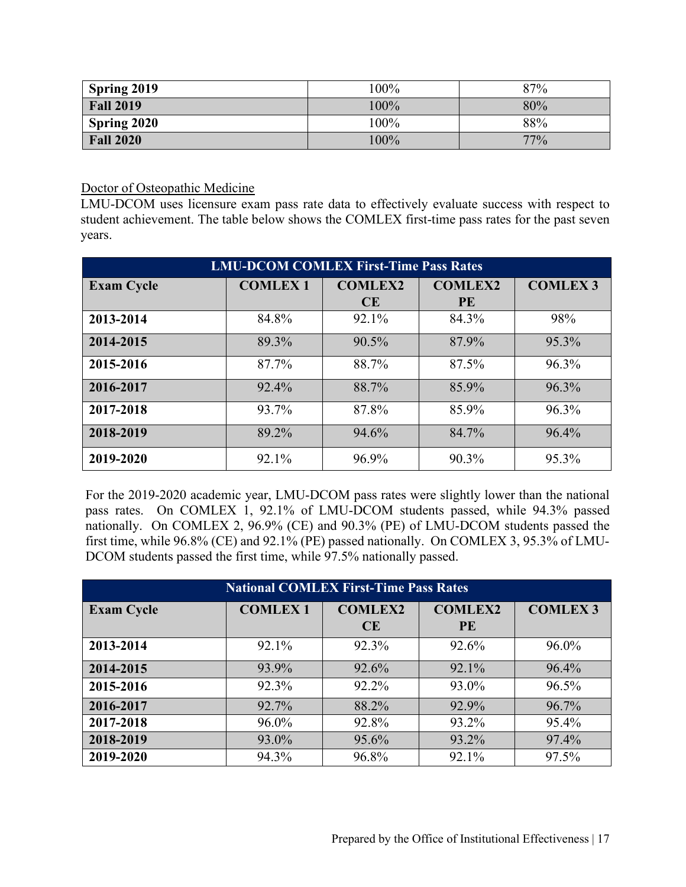| Spring 2019      | 100%    | 87% |
|------------------|---------|-----|
| <b>Fall 2019</b> | 100%    | 80% |
| Spring 2020      | $100\%$ | 88% |
| <b>Fall 2020</b> | $100\%$ | 77% |

Doctor of Osteopathic Medicine

LMU-DCOM uses licensure exam pass rate data to effectively evaluate success with respect to student achievement. The table below shows the COMLEX first-time pass rates for the past seven years.

| <b>LMU-DCOM COMLEX First-Time Pass Rates</b> |                |                |                |                 |  |  |  |  |
|----------------------------------------------|----------------|----------------|----------------|-----------------|--|--|--|--|
| <b>Exam Cycle</b>                            | <b>COMLEX1</b> | <b>COMLEX2</b> | <b>COMLEX2</b> | <b>COMLEX 3</b> |  |  |  |  |
|                                              |                | CE             | <b>PE</b>      |                 |  |  |  |  |
| 2013-2014                                    | 84.8%          | 92.1%          | 84.3%          | 98%             |  |  |  |  |
| 2014-2015                                    | 89.3%          | 90.5%          | 87.9%          | 95.3%           |  |  |  |  |
| 2015-2016                                    | 87.7%          | 88.7%          | 87.5%          | 96.3%           |  |  |  |  |
| 2016-2017                                    | 92.4%          | 88.7%          | 85.9%          | 96.3%           |  |  |  |  |
| 2017-2018                                    | 93.7%          | 87.8%          | 85.9%          | 96.3%           |  |  |  |  |
| 2018-2019                                    | 89.2%          | 94.6%          | 84.7%          | 96.4%           |  |  |  |  |
| 2019-2020                                    | 92.1%          | 96.9%          | 90.3%          | 95.3%           |  |  |  |  |

For the 2019-2020 academic year, LMU-DCOM pass rates were slightly lower than the national pass rates. On COMLEX 1, 92.1% of LMU-DCOM students passed, while 94.3% passed nationally. On COMLEX 2, 96.9% (CE) and 90.3% (PE) of LMU-DCOM students passed the first time, while 96.8% (CE) and 92.1% (PE) passed nationally. On COMLEX 3, 95.3% of LMU-DCOM students passed the first time, while 97.5% nationally passed.

| <b>National COMLEX First-Time Pass Rates</b> |                |                      |                             |                 |  |  |  |  |
|----------------------------------------------|----------------|----------------------|-----------------------------|-----------------|--|--|--|--|
| <b>Exam Cycle</b>                            | <b>COMLEX1</b> | <b>COMLEX2</b><br>CE | <b>COMLEX2</b><br><b>PE</b> | <b>COMLEX 3</b> |  |  |  |  |
| 2013-2014                                    | 92.1%          | 92.3%                | 92.6%                       | 96.0%           |  |  |  |  |
| 2014-2015                                    | 93.9%          | 92.6%                | 92.1%                       | 96.4%           |  |  |  |  |
| 2015-2016                                    | 92.3%          | 92.2%                | 93.0%                       | 96.5%           |  |  |  |  |
| 2016-2017                                    | 92.7%          | 88.2%                | 92.9%                       | 96.7%           |  |  |  |  |
| 2017-2018                                    | 96.0%          | 92.8%                | 93.2%                       | 95.4%           |  |  |  |  |
| 2018-2019                                    | 93.0%          | 95.6%                | 93.2%                       | 97.4%           |  |  |  |  |
| 2019-2020                                    | 94.3%          | 96.8%                | 92.1%                       | 97.5%           |  |  |  |  |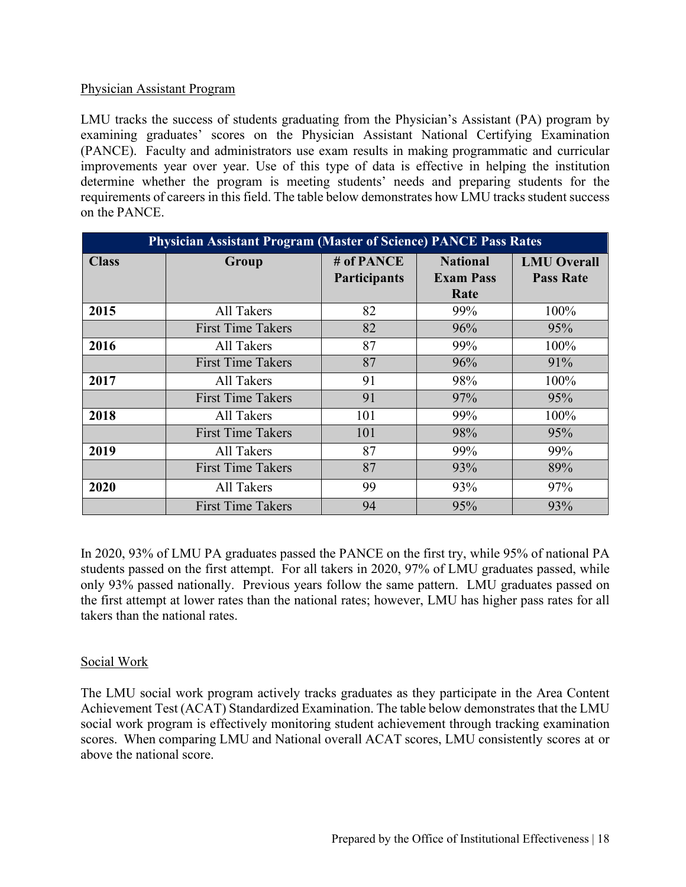#### Physician Assistant Program

LMU tracks the success of students graduating from the Physician's Assistant (PA) program by examining graduates' scores on the Physician Assistant National Certifying Examination (PANCE). Faculty and administrators use exam results in making programmatic and curricular improvements year over year. Use of this type of data is effective in helping the institution determine whether the program is meeting students' needs and preparing students for the requirements of careers in this field. The table below demonstrates how LMU tracks student success on the PANCE.

|              | <b>Physician Assistant Program (Master of Science) PANCE Pass Rates</b> |                                   |                                             |                                        |
|--------------|-------------------------------------------------------------------------|-----------------------------------|---------------------------------------------|----------------------------------------|
| <b>Class</b> | Group                                                                   | # of PANCE<br><b>Participants</b> | <b>National</b><br><b>Exam Pass</b><br>Rate | <b>LMU</b> Overall<br><b>Pass Rate</b> |
| 2015         | All Takers                                                              | 82                                | 99%                                         | 100%                                   |
|              | <b>First Time Takers</b>                                                | 82                                | 96%                                         | 95%                                    |
| 2016         | All Takers                                                              | 87                                | 99%                                         | 100%                                   |
|              | <b>First Time Takers</b>                                                | 87                                | 96%                                         | 91%                                    |
| 2017         | All Takers                                                              | 91                                | 98%                                         | 100%                                   |
|              | <b>First Time Takers</b>                                                | 91                                | 97%                                         | 95%                                    |
| 2018         | All Takers                                                              | 101                               | 99%                                         | 100%                                   |
|              | <b>First Time Takers</b>                                                | 101                               | 98%                                         | 95%                                    |
| 2019         | All Takers                                                              | 87                                | 99%                                         | 99%                                    |
|              | <b>First Time Takers</b>                                                | 87                                | 93%                                         | 89%                                    |
| 2020         | All Takers                                                              | 99                                | 93%                                         | 97%                                    |
|              | <b>First Time Takers</b>                                                | 94                                | 95%                                         | 93%                                    |

In 2020, 93% of LMU PA graduates passed the PANCE on the first try, while 95% of national PA students passed on the first attempt. For all takers in 2020, 97% of LMU graduates passed, while only 93% passed nationally. Previous years follow the same pattern. LMU graduates passed on the first attempt at lower rates than the national rates; however, LMU has higher pass rates for all takers than the national rates.

# Social Work

The LMU social work program actively tracks graduates as they participate in the Area Content Achievement Test (ACAT) Standardized Examination. The table below demonstrates that the LMU social work program is effectively monitoring student achievement through tracking examination scores. When comparing LMU and National overall ACAT scores, LMU consistently scores at or above the national score.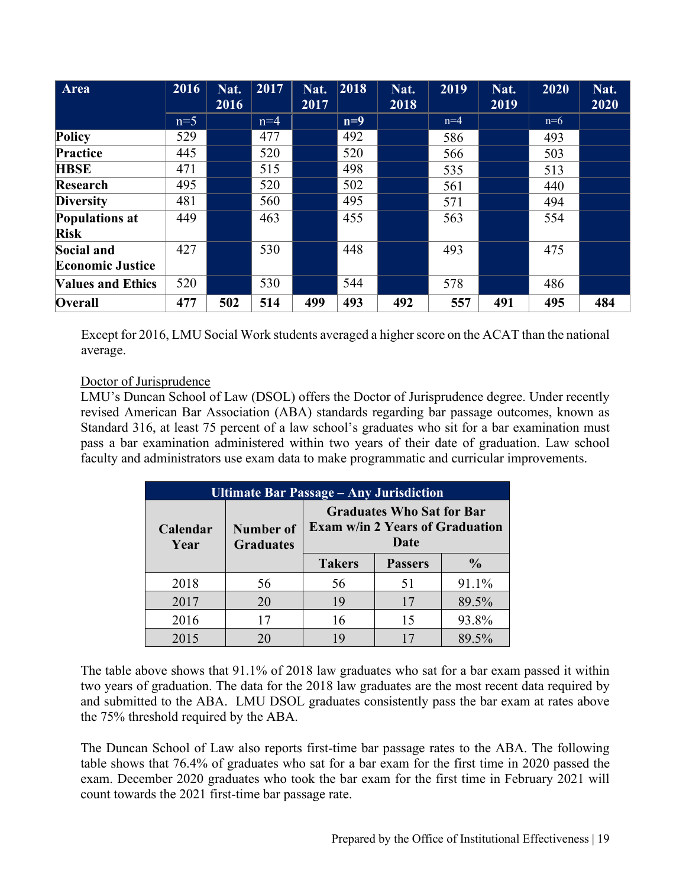| Area                     | 2016  | Nat.<br>2016 | 2017  | Nat.<br>2017 | 2018  | Nat.<br>2018 | 2019  | Nat.<br>2019 | 2020  | Nat.<br>2020 |
|--------------------------|-------|--------------|-------|--------------|-------|--------------|-------|--------------|-------|--------------|
|                          | $n=5$ |              | $n=4$ |              | $n=9$ |              | $n=4$ |              | $n=6$ |              |
| Policy                   | 529   |              | 477   |              | 492   |              | 586   |              | 493   |              |
| Practice                 | 445   |              | 520   |              | 520   |              | 566   |              | 503   |              |
| <b>HBSE</b>              | 471   |              | 515   |              | 498   |              | 535   |              | 513   |              |
| Research                 | 495   |              | 520   |              | 502   |              | 561   |              | 440   |              |
| <b>Diversity</b>         | 481   |              | 560   |              | 495   |              | 571   |              | 494   |              |
| <b>Populations at</b>    | 449   |              | 463   |              | 455   |              | 563   |              | 554   |              |
| <b>Risk</b>              |       |              |       |              |       |              |       |              |       |              |
| Social and               | 427   |              | 530   |              | 448   |              | 493   |              | 475   |              |
| <b>Economic Justice</b>  |       |              |       |              |       |              |       |              |       |              |
| <b>Values and Ethics</b> | 520   |              | 530   |              | 544   |              | 578   |              | 486   |              |
| Overall                  | 477   | 502          | 514   | 499          | 493   | 492          | 557   | 491          | 495   | 484          |

Except for 2016, LMU Social Work students averaged a higher score on the ACAT than the national average.

# Doctor of Jurisprudence

LMU's Duncan School of Law (DSOL) offers the Doctor of Jurisprudence degree. Under recently revised American Bar Association (ABA) standards regarding bar passage outcomes, known as Standard 316, at least 75 percent of a law school's graduates who sit for a bar examination must pass a bar examination administered within two years of their date of graduation. Law school faculty and administrators use exam data to make programmatic and curricular improvements.

| <b>Ultimate Bar Passage – Any Jurisdiction</b> |                                      |                                                                                                                                        |    |       |  |  |  |  |
|------------------------------------------------|--------------------------------------|----------------------------------------------------------------------------------------------------------------------------------------|----|-------|--|--|--|--|
| Calendar<br>Year                               | <b>Number of</b><br><b>Graduates</b> | <b>Graduates Who Sat for Bar</b><br><b>Exam w/in 2 Years of Graduation</b><br>Date<br><b>Takers</b><br><b>Passers</b><br>$\frac{6}{9}$ |    |       |  |  |  |  |
|                                                |                                      |                                                                                                                                        |    |       |  |  |  |  |
| 2018                                           | 56                                   | 56                                                                                                                                     | 51 | 91.1% |  |  |  |  |
| 2017                                           | 20                                   | 19                                                                                                                                     | 17 | 89.5% |  |  |  |  |
| 2016                                           | 17                                   | 16                                                                                                                                     | 15 | 93.8% |  |  |  |  |
| 2015                                           | 20                                   | 19<br>89.5%<br>17                                                                                                                      |    |       |  |  |  |  |

The table above shows that 91.1% of 2018 law graduates who sat for a bar exam passed it within two years of graduation. The data for the 2018 law graduates are the most recent data required by and submitted to the ABA. LMU DSOL graduates consistently pass the bar exam at rates above the 75% threshold required by the ABA.

The Duncan School of Law also reports first-time bar passage rates to the ABA. The following table shows that 76.4% of graduates who sat for a bar exam for the first time in 2020 passed the exam. December 2020 graduates who took the bar exam for the first time in February 2021 will count towards the 2021 first-time bar passage rate.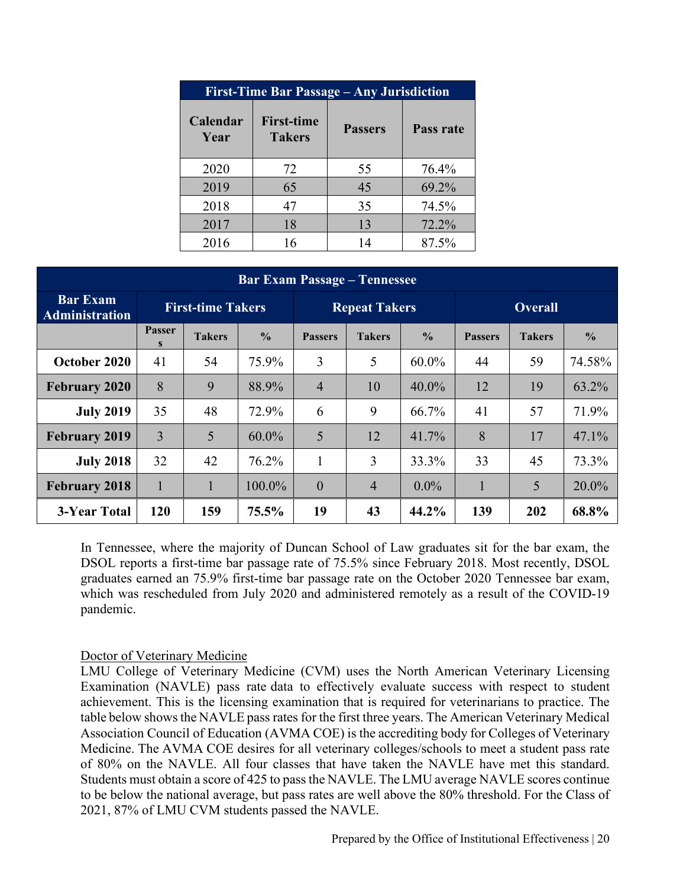| <b>First-Time Bar Passage – Any Jurisdiction</b> |                                    |                |           |  |  |  |  |  |
|--------------------------------------------------|------------------------------------|----------------|-----------|--|--|--|--|--|
| Calendar<br>Year                                 | <b>First-time</b><br><b>Takers</b> | <b>Passers</b> | Pass rate |  |  |  |  |  |
| 2020                                             | 72                                 | 55             | 76.4%     |  |  |  |  |  |
| 2019                                             | 65                                 | 45             | 69.2%     |  |  |  |  |  |
| 2018                                             | 47                                 | 35             | 74.5%     |  |  |  |  |  |
| 2017                                             | 18                                 | 13             | 72.2%     |  |  |  |  |  |
| 2016                                             | 16                                 | 14             | 87.5%     |  |  |  |  |  |

#### **Bar Exam Passage – Tennessee**

| <b>Bar Exam</b><br><b>Administration</b> | <b>First-time Takers</b> |               |               | <b>Repeat Takers</b> |                |               | <b>Overall</b> |               |               |
|------------------------------------------|--------------------------|---------------|---------------|----------------------|----------------|---------------|----------------|---------------|---------------|
|                                          | <b>Passer</b><br>S       | <b>Takers</b> | $\frac{0}{0}$ | <b>Passers</b>       | <b>Takers</b>  | $\frac{0}{0}$ | <b>Passers</b> | <b>Takers</b> | $\frac{0}{0}$ |
| October 2020                             | 41                       | 54            | 75.9%         | 3                    | 5              | $60.0\%$      | 44             | 59            | 74.58%        |
| <b>February 2020</b>                     | 8                        | 9             | 88.9%         | $\overline{4}$       | 10             | $40.0\%$      | 12             | 19            | $63.2\%$      |
| <b>July 2019</b>                         | 35                       | 48            | 72.9%         | 6                    | 9              | 66.7%         | 41             | 57            | 71.9%         |
| <b>February 2019</b>                     | 3                        | 5             | $60.0\%$      | 5                    | 12             | 41.7%         | 8              | 17            | 47.1%         |
| <b>July 2018</b>                         | 32                       | 42            | 76.2%         | $\mathbf{1}$         | 3              | 33.3%         | 33             | 45            | 73.3%         |
| <b>February 2018</b>                     | $\mathbf{1}$             | 1             | 100.0%        | $\boldsymbol{0}$     | $\overline{4}$ | $0.0\%$       | $\mathbf{1}$   | 5             | 20.0%         |
| 3-Year Total                             | 120                      | 159           | 75.5%         | 19                   | 43             | 44.2%         | 139            | 202           | 68.8%         |

In Tennessee, where the majority of Duncan School of Law graduates sit for the bar exam, the DSOL reports a first-time bar passage rate of 75.5% since February 2018. Most recently, DSOL graduates earned an 75.9% first-time bar passage rate on the October 2020 Tennessee bar exam, which was rescheduled from July 2020 and administered remotely as a result of the COVID-19 pandemic.

#### Doctor of Veterinary Medicine

LMU College of Veterinary Medicine (CVM) uses the North American Veterinary Licensing Examination (NAVLE) pass rate data to effectively evaluate success with respect to student achievement. This is the licensing examination that is required for veterinarians to practice. The table below shows the NAVLE pass rates for the first three years. The American Veterinary Medical Association Council of Education (AVMA COE) is the accrediting body for Colleges of Veterinary Medicine. The AVMA COE desires for all veterinary colleges/schools to meet a student pass rate of 80% on the NAVLE. All four classes that have taken the NAVLE have met this standard. Students must obtain a score of 425 to pass the NAVLE. The LMU average NAVLE scores continue to be below the national average, but pass rates are well above the 80% threshold. For the Class of 2021, 87% of LMU CVM students passed the NAVLE.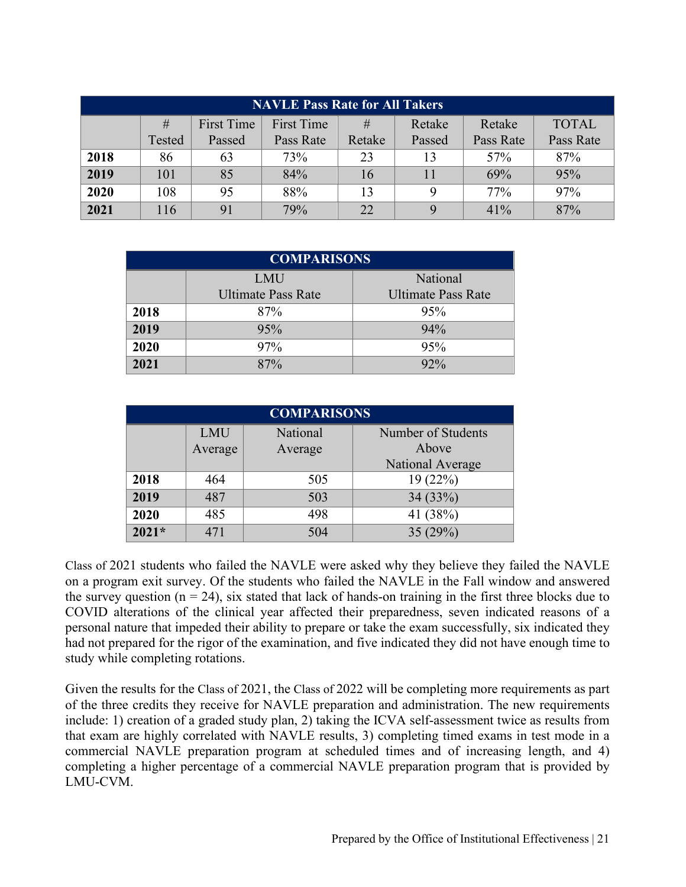| <b>NAVLE Pass Rate for All Takers</b> |        |                   |            |        |        |           |              |
|---------------------------------------|--------|-------------------|------------|--------|--------|-----------|--------------|
|                                       | #      | <b>First Time</b> | First Time | #      | Retake | Retake    | <b>TOTAL</b> |
|                                       | Tested | Passed            | Pass Rate  | Retake | Passed | Pass Rate | Pass Rate    |
| 2018                                  | 86     | 63                | 73%        | 23     | 13     | 57%       | 87%          |
| 2019                                  | 101    | 85                | 84%        | 16     | 11     | 69%       | 95%          |
| 2020                                  | 108    | 95                | 88%        | 13     |        | 77%       | 97%          |
| 2021                                  | 116    | 91                | 79%        | 22     |        | $41\%$    | 87%          |

| <b>COMPARISONS</b> |                           |                           |  |  |  |
|--------------------|---------------------------|---------------------------|--|--|--|
|                    | <b>LMU</b>                | National                  |  |  |  |
|                    | <b>Ultimate Pass Rate</b> | <b>Ultimate Pass Rate</b> |  |  |  |
| 2018               | 87%                       | 95%                       |  |  |  |
| 2019               | 95%                       | 94%                       |  |  |  |
| 2020               | 97%                       | 95%                       |  |  |  |
| 2021               | 87%                       | 92%                       |  |  |  |

| <b>COMPARISONS</b> |                       |                     |                             |  |  |
|--------------------|-----------------------|---------------------|-----------------------------|--|--|
|                    | <b>LMU</b><br>Average | National<br>Average | Number of Students<br>Above |  |  |
|                    |                       |                     | National Average            |  |  |
| 2018               | 464                   | 505                 | 19(22%)                     |  |  |
| 2019               | 487                   | 503                 | 34 (33%)                    |  |  |
| 2020               | 485                   | 498                 | 41 (38%)                    |  |  |
| $2021*$            | 471                   | 504                 | 35(29%)                     |  |  |

Class of 2021 students who failed the NAVLE were asked why they believe they failed the NAVLE on a program exit survey. Of the students who failed the NAVLE in the Fall window and answered the survey question ( $n = 24$ ), six stated that lack of hands-on training in the first three blocks due to COVID alterations of the clinical year affected their preparedness, seven indicated reasons of a personal nature that impeded their ability to prepare or take the exam successfully, six indicated they had not prepared for the rigor of the examination, and five indicated they did not have enough time to study while completing rotations.

Given the results for the Class of 2021, the Class of 2022 will be completing more requirements as part of the three credits they receive for NAVLE preparation and administration. The new requirements include: 1) creation of a graded study plan, 2) taking the ICVA self-assessment twice as results from that exam are highly correlated with NAVLE results, 3) completing timed exams in test mode in a commercial NAVLE preparation program at scheduled times and of increasing length, and 4) completing a higher percentage of a commercial NAVLE preparation program that is provided by LMU-CVM.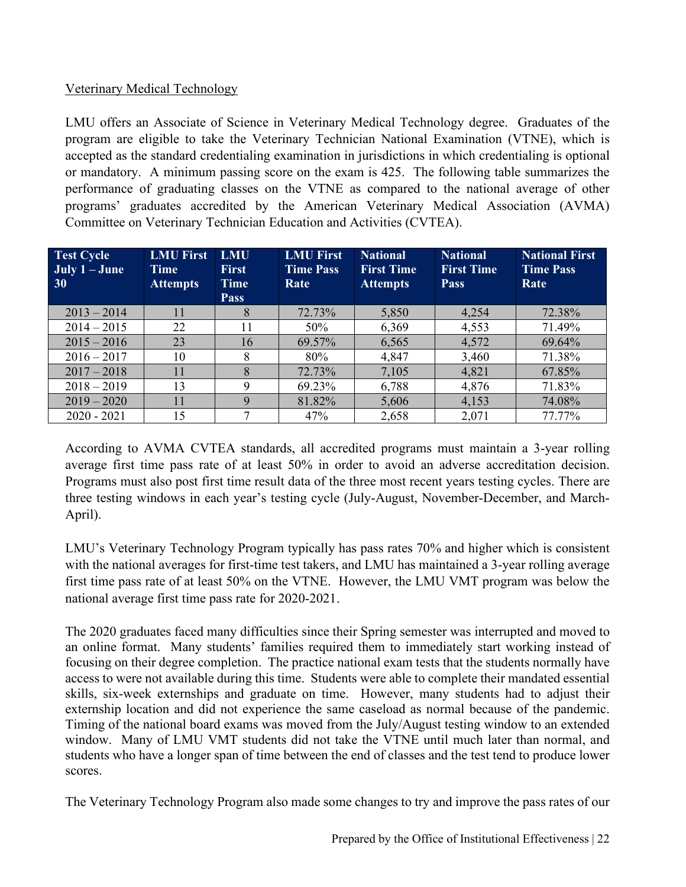# Veterinary Medical Technology

LMU offers an Associate of Science in Veterinary Medical Technology degree. Graduates of the program are eligible to take the Veterinary Technician National Examination (VTNE), which is accepted as the standard credentialing examination in jurisdictions in which credentialing is optional or mandatory. A minimum passing score on the exam is 425. The following table summarizes the performance of graduating classes on the VTNE as compared to the national average of other programs' graduates accredited by the American Veterinary Medical Association (AVMA) Committee on Veterinary Technician Education and Activities (CVTEA).

| <b>Test Cycle</b><br>July $1 -$ June<br>30 | <b>LMU First</b><br><b>Time</b><br><b>Attempts</b> | <b>LMU</b><br><b>First</b><br><b>Time</b><br><b>Pass</b> | <b>LMU First</b><br><b>Time Pass</b><br>Rate | <b>National</b><br><b>First Time</b><br><b>Attempts</b> | <b>National</b><br><b>First Time</b><br><b>Pass</b> | <b>National First</b><br><b>Time Pass</b><br>Rate |
|--------------------------------------------|----------------------------------------------------|----------------------------------------------------------|----------------------------------------------|---------------------------------------------------------|-----------------------------------------------------|---------------------------------------------------|
| $2013 - 2014$                              | 11                                                 | 8                                                        | 72.73%                                       | 5,850                                                   | 4,254                                               | 72.38%                                            |
| $2014 - 2015$                              | 22                                                 | 11                                                       | 50%                                          | 6,369                                                   | 4,553                                               | 71.49%                                            |
| $2015 - 2016$                              | 23                                                 | 16                                                       | 69.57%                                       | 6,565                                                   | 4,572                                               | 69.64%                                            |
| $2016 - 2017$                              | 10                                                 | 8                                                        | 80%                                          | 4,847                                                   | 3,460                                               | 71.38%                                            |
| $2017 - 2018$                              | 11                                                 | 8                                                        | 72.73%                                       | 7,105                                                   | 4,821                                               | 67.85%                                            |
| $2018 - 2019$                              | 13                                                 | 9                                                        | 69.23%                                       | 6,788                                                   | 4,876                                               | 71.83%                                            |
| $2019 - 2020$                              | 11                                                 | 9                                                        | 81.82%                                       | 5,606                                                   | 4,153                                               | 74.08%                                            |
| $2020 - 2021$                              | 15                                                 | 7                                                        | 47%                                          | 2,658                                                   | 2,071                                               | 77.77%                                            |

According to AVMA CVTEA standards, all accredited programs must maintain a 3-year rolling average first time pass rate of at least 50% in order to avoid an adverse accreditation decision. Programs must also post first time result data of the three most recent years testing cycles. There are three testing windows in each year's testing cycle (July-August, November-December, and March-April).

LMU's Veterinary Technology Program typically has pass rates 70% and higher which is consistent with the national averages for first-time test takers, and LMU has maintained a 3-year rolling average first time pass rate of at least 50% on the VTNE. However, the LMU VMT program was below the national average first time pass rate for 2020-2021.

The 2020 graduates faced many difficulties since their Spring semester was interrupted and moved to an online format. Many students' families required them to immediately start working instead of focusing on their degree completion. The practice national exam tests that the students normally have access to were not available during this time. Students were able to complete their mandated essential skills, six-week externships and graduate on time. However, many students had to adjust their externship location and did not experience the same caseload as normal because of the pandemic. Timing of the national board exams was moved from the July/August testing window to an extended window. Many of LMU VMT students did not take the VTNE until much later than normal, and students who have a longer span of time between the end of classes and the test tend to produce lower scores.

The Veterinary Technology Program also made some changes to try and improve the pass rates of our